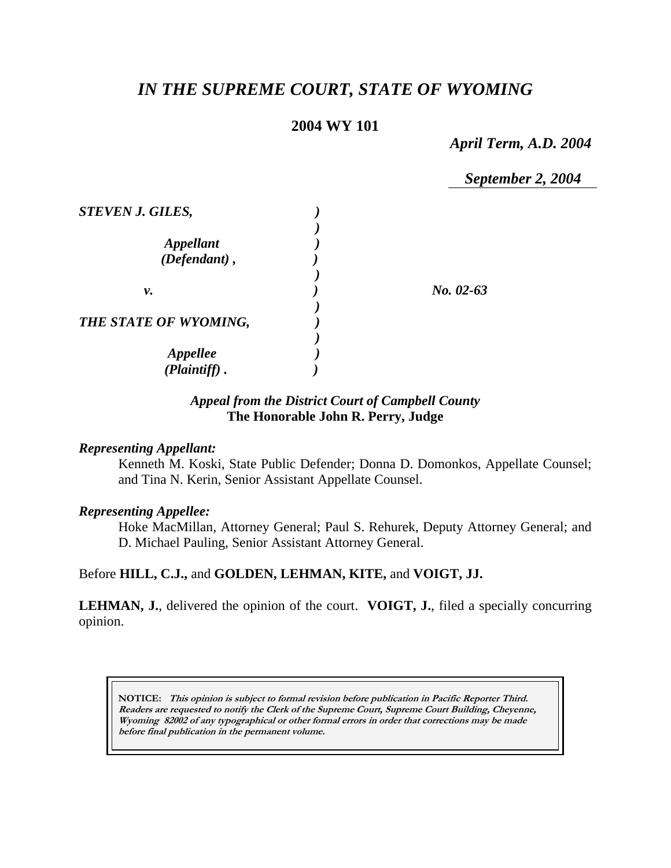# *IN THE SUPREME COURT, STATE OF WYOMING*

### **2004 WY 101**

*April Term, A.D. 2004* 

*September 2, 2004* 

| <b>STEVEN J. GILES,</b>          |             |
|----------------------------------|-------------|
| <b>Appellant</b><br>(Defendant), |             |
| ν.                               | $No. 02-63$ |
| THE STATE OF WYOMING,            |             |
| <b>Appellee</b>                  |             |
| $(Plaintiff)$ .                  |             |

# *Appeal from the District Court of Campbell County* **The Honorable John R. Perry, Judge**

### *Representing Appellant:*

Kenneth M. Koski, State Public Defender; Donna D. Domonkos, Appellate Counsel; and Tina N. Kerin, Senior Assistant Appellate Counsel.

### *Representing Appellee:*

Hoke MacMillan, Attorney General; Paul S. Rehurek, Deputy Attorney General; and D. Michael Pauling, Senior Assistant Attorney General.

### Before **HILL, C.J.,** and **GOLDEN, LEHMAN, KITE,** and **VOIGT, JJ.**

**LEHMAN, J.**, delivered the opinion of the court. **VOIGT, J.**, filed a specially concurring opinion.

**NOTICE: This opinion is subject to formal revision before publication in Pacific Reporter Third. Readers are requested to notify the Clerk of the Supreme Court, Supreme Court Building, Cheyenne, Wyoming 82002 of any typographical or other formal errors in order that corrections may be made before final publication in the permanent volume.**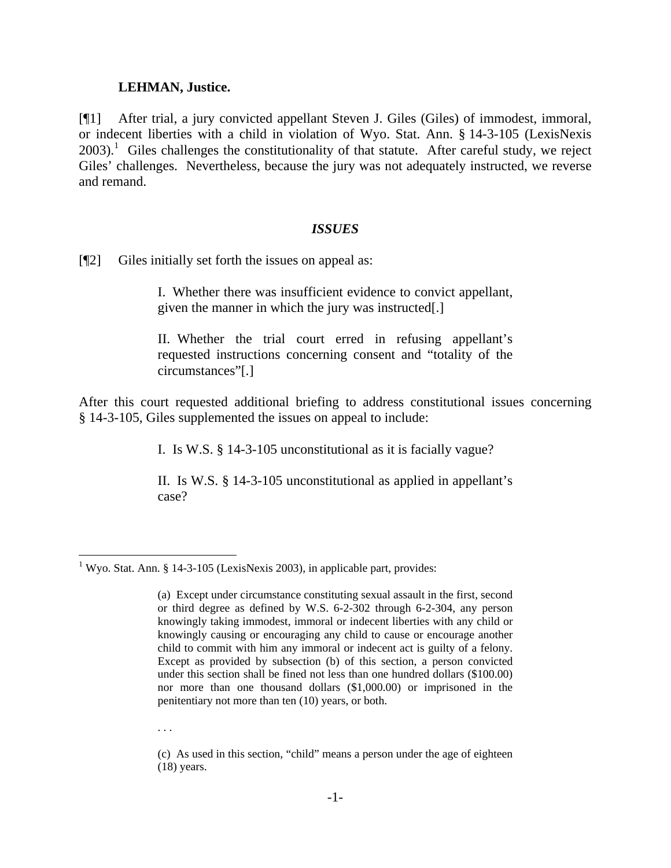#### **LEHMAN, Justice.**

[¶1] After trial, a jury convicted appellant Steven J. Giles (Giles) of immodest, immoral, or indecent liberties with a child in violation of Wyo. Stat. Ann. § 14-3-105 (LexisNexis  $2003$ ).<sup>1</sup> Giles challenges the constitutionality of that statute. After careful study, we reject Giles' challenges. Nevertheless, because the jury was not adequately instructed, we reverse and remand.

### *ISSUES*

[¶2] Giles initially set forth the issues on appeal as:

I. Whether there was insufficient evidence to convict appellant, given the manner in which the jury was instructed[.]

II. Whether the trial court erred in refusing appellant's requested instructions concerning consent and "totality of the circumstances"[.]

After this court requested additional briefing to address constitutional issues concerning § 14-3-105, Giles supplemented the issues on appeal to include:

I. Is W.S. § 14-3-105 unconstitutional as it is facially vague?

II. Is W.S. § 14-3-105 unconstitutional as applied in appellant's case?

. . .

<sup>&</sup>lt;sup>1</sup> Wyo. Stat. Ann. § 14-3-105 (LexisNexis 2003), in applicable part, provides:

<sup>(</sup>a) Except under circumstance constituting sexual assault in the first, second or third degree as defined by W.S. 6-2-302 through 6-2-304, any person knowingly taking immodest, immoral or indecent liberties with any child or knowingly causing or encouraging any child to cause or encourage another child to commit with him any immoral or indecent act is guilty of a felony. Except as provided by subsection (b) of this section, a person convicted under this section shall be fined not less than one hundred dollars (\$100.00) nor more than one thousand dollars (\$1,000.00) or imprisoned in the penitentiary not more than ten (10) years, or both.

<sup>(</sup>c) As used in this section, "child" means a person under the age of eighteen (18) years.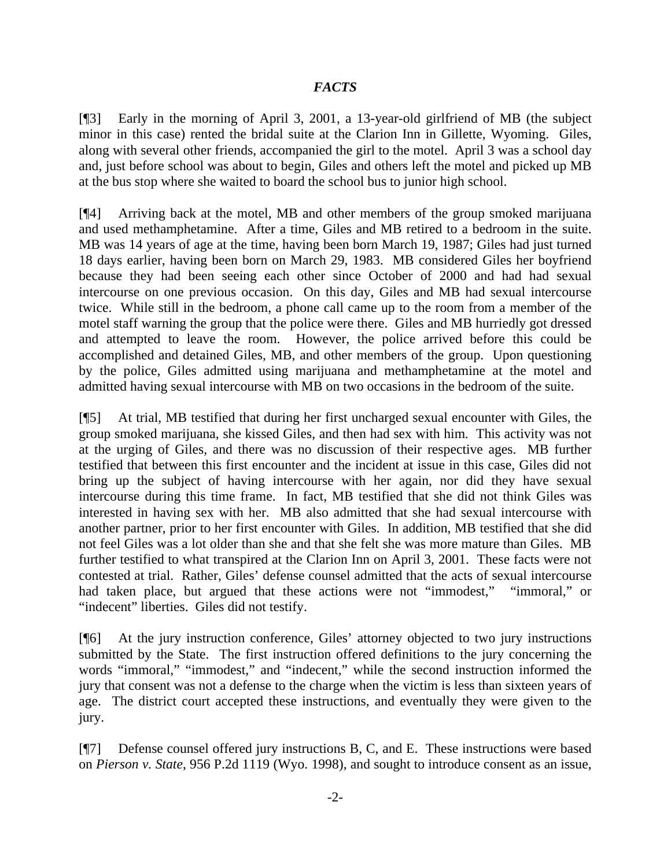# *FACTS*

[¶3] Early in the morning of April 3, 2001, a 13-year-old girlfriend of MB (the subject minor in this case) rented the bridal suite at the Clarion Inn in Gillette, Wyoming. Giles, along with several other friends, accompanied the girl to the motel. April 3 was a school day and, just before school was about to begin, Giles and others left the motel and picked up MB at the bus stop where she waited to board the school bus to junior high school.

[¶4] Arriving back at the motel, MB and other members of the group smoked marijuana and used methamphetamine. After a time, Giles and MB retired to a bedroom in the suite. MB was 14 years of age at the time, having been born March 19, 1987; Giles had just turned 18 days earlier, having been born on March 29, 1983. MB considered Giles her boyfriend because they had been seeing each other since October of 2000 and had had sexual intercourse on one previous occasion. On this day, Giles and MB had sexual intercourse twice. While still in the bedroom, a phone call came up to the room from a member of the motel staff warning the group that the police were there. Giles and MB hurriedly got dressed and attempted to leave the room. However, the police arrived before this could be accomplished and detained Giles, MB, and other members of the group. Upon questioning by the police, Giles admitted using marijuana and methamphetamine at the motel and admitted having sexual intercourse with MB on two occasions in the bedroom of the suite.

[¶5] At trial, MB testified that during her first uncharged sexual encounter with Giles, the group smoked marijuana, she kissed Giles, and then had sex with him. This activity was not at the urging of Giles, and there was no discussion of their respective ages. MB further testified that between this first encounter and the incident at issue in this case, Giles did not bring up the subject of having intercourse with her again, nor did they have sexual intercourse during this time frame. In fact, MB testified that she did not think Giles was interested in having sex with her. MB also admitted that she had sexual intercourse with another partner, prior to her first encounter with Giles. In addition, MB testified that she did not feel Giles was a lot older than she and that she felt she was more mature than Giles. MB further testified to what transpired at the Clarion Inn on April 3, 2001. These facts were not contested at trial. Rather, Giles' defense counsel admitted that the acts of sexual intercourse had taken place, but argued that these actions were not "immodest," "immoral," or "indecent" liberties. Giles did not testify.

[¶6] At the jury instruction conference, Giles' attorney objected to two jury instructions submitted by the State. The first instruction offered definitions to the jury concerning the words "immoral," "immodest," and "indecent," while the second instruction informed the jury that consent was not a defense to the charge when the victim is less than sixteen years of age. The district court accepted these instructions, and eventually they were given to the jury.

[¶7] Defense counsel offered jury instructions B, C, and E. These instructions were based on *Pierson v. State*, 956 P.2d 1119 (Wyo. 1998), and sought to introduce consent as an issue,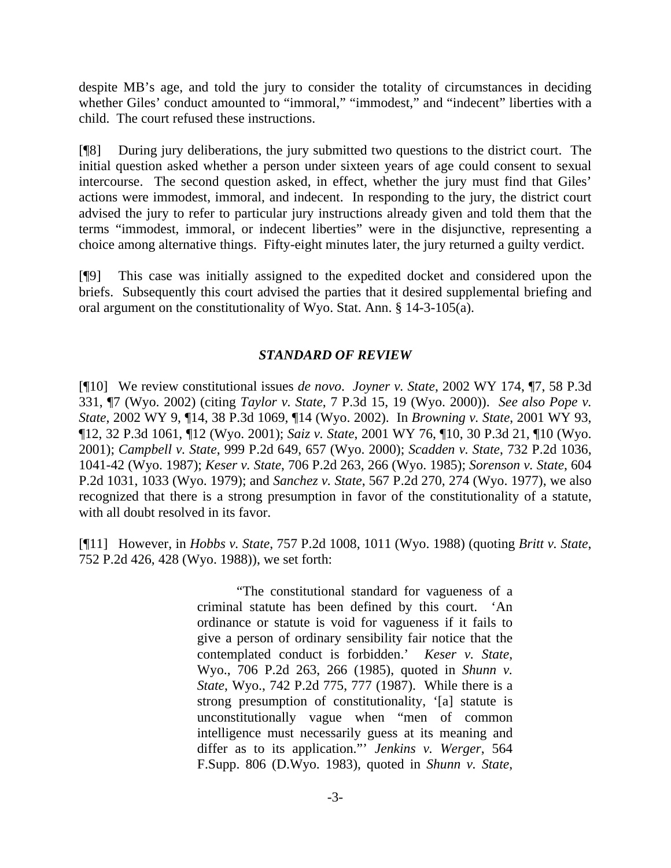despite MB's age, and told the jury to consider the totality of circumstances in deciding whether Giles' conduct amounted to "immoral," "immodest," and "indecent" liberties with a child. The court refused these instructions.

[¶8] During jury deliberations, the jury submitted two questions to the district court. The initial question asked whether a person under sixteen years of age could consent to sexual intercourse. The second question asked, in effect, whether the jury must find that Giles' actions were immodest, immoral, and indecent. In responding to the jury, the district court advised the jury to refer to particular jury instructions already given and told them that the terms "immodest, immoral, or indecent liberties" were in the disjunctive, representing a choice among alternative things. Fifty-eight minutes later, the jury returned a guilty verdict.

[¶9] This case was initially assigned to the expedited docket and considered upon the briefs. Subsequently this court advised the parties that it desired supplemental briefing and oral argument on the constitutionality of Wyo. Stat. Ann. § 14-3-105(a).

# *STANDARD OF REVIEW*

[¶10] We review constitutional issues *de novo*. *Joyner v. State*, 2002 WY 174, ¶7, 58 P.3d 331, ¶7 (Wyo. 2002) (citing *Taylor v. State*, 7 P.3d 15, 19 (Wyo. 2000)). *See also Pope v. State*, 2002 WY 9, ¶14, 38 P.3d 1069, ¶14 (Wyo. 2002). In *Browning v. State*, 2001 WY 93, ¶12, 32 P.3d 1061, ¶12 (Wyo. 2001); *Saiz v. State*, 2001 WY 76, ¶10, 30 P.3d 21, ¶10 (Wyo. 2001); *Campbell v. State*, 999 P.2d 649, 657 (Wyo. 2000); *Scadden v. State*, 732 P.2d 1036, 1041-42 (Wyo. 1987); *Keser v. State*, 706 P.2d 263, 266 (Wyo. 1985); *Sorenson v. State*, 604 P.2d 1031, 1033 (Wyo. 1979); and *Sanchez v. State*, 567 P.2d 270, 274 (Wyo. 1977), we also recognized that there is a strong presumption in favor of the constitutionality of a statute, with all doubt resolved in its favor.

[¶11] However, in *Hobbs v. State*, 757 P.2d 1008, 1011 (Wyo. 1988) (quoting *Britt v. State*, 752 P.2d 426, 428 (Wyo. 1988)), we set forth:

> "The constitutional standard for vagueness of a criminal statute has been defined by this court. 'An ordinance or statute is void for vagueness if it fails to give a person of ordinary sensibility fair notice that the contemplated conduct is forbidden.' *Keser v. State*, Wyo., 706 P.2d 263, 266 (1985), quoted in *Shunn v. State*, Wyo., 742 P.2d 775, 777 (1987). While there is a strong presumption of constitutionality, '[a] statute is unconstitutionally vague when "men of common intelligence must necessarily guess at its meaning and differ as to its application."' *Jenkins v. Werger*, 564 F.Supp. 806 (D.Wyo. 1983), quoted in *Shunn v. State*,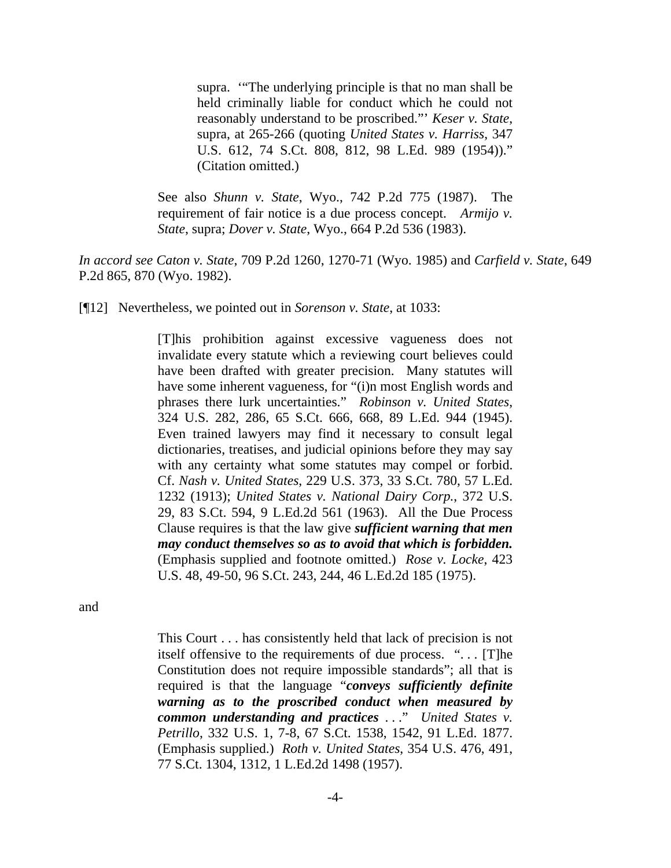supra. '"The underlying principle is that no man shall be held criminally liable for conduct which he could not reasonably understand to be proscribed."' *Keser v. State*, supra, at 265-266 (quoting *United States v. Harriss*, 347 U.S. 612, 74 S.Ct. 808, 812, 98 L.Ed. 989 (1954))." (Citation omitted.)

See also *Shunn v. State*, Wyo., 742 P.2d 775 (1987). The requirement of fair notice is a due process concept. *Armijo v. State*, supra; *Dover v. State*, Wyo., 664 P.2d 536 (1983).

*In accord see Caton v. State*, 709 P.2d 1260, 1270-71 (Wyo. 1985) and *Carfield v. State*, 649 P.2d 865, 870 (Wyo. 1982).

[¶12] Nevertheless, we pointed out in *Sorenson v. State*, at 1033:

[T]his prohibition against excessive vagueness does not invalidate every statute which a reviewing court believes could have been drafted with greater precision. Many statutes will have some inherent vagueness, for "(i)n most English words and phrases there lurk uncertainties." *Robinson v. United States*, 324 U.S. 282, 286, 65 S.Ct. 666, 668, 89 L.Ed. 944 (1945). Even trained lawyers may find it necessary to consult legal dictionaries, treatises, and judicial opinions before they may say with any certainty what some statutes may compel or forbid. Cf. *Nash v. United States*, 229 U.S. 373, 33 S.Ct. 780, 57 L.Ed. 1232 (1913); *United States v. National Dairy Corp.*, 372 U.S. 29, 83 S.Ct. 594, 9 L.Ed.2d 561 (1963). All the Due Process Clause requires is that the law give *sufficient warning that men may conduct themselves so as to avoid that which is forbidden.* (Emphasis supplied and footnote omitted.) *Rose v. Locke*, 423 U.S. 48, 49-50, 96 S.Ct. 243, 244, 46 L.Ed.2d 185 (1975).

and

This Court . . . has consistently held that lack of precision is not itself offensive to the requirements of due process. ". . . [T]he Constitution does not require impossible standards"; all that is required is that the language "*conveys sufficiently definite warning as to the proscribed conduct when measured by common understanding and practices* . . ." *United States v. Petrillo*, 332 U.S. 1, 7-8, 67 S.Ct. 1538, 1542, 91 L.Ed. 1877. (Emphasis supplied.) *Roth v. United States*, 354 U.S. 476, 491, 77 S.Ct. 1304, 1312, 1 L.Ed.2d 1498 (1957).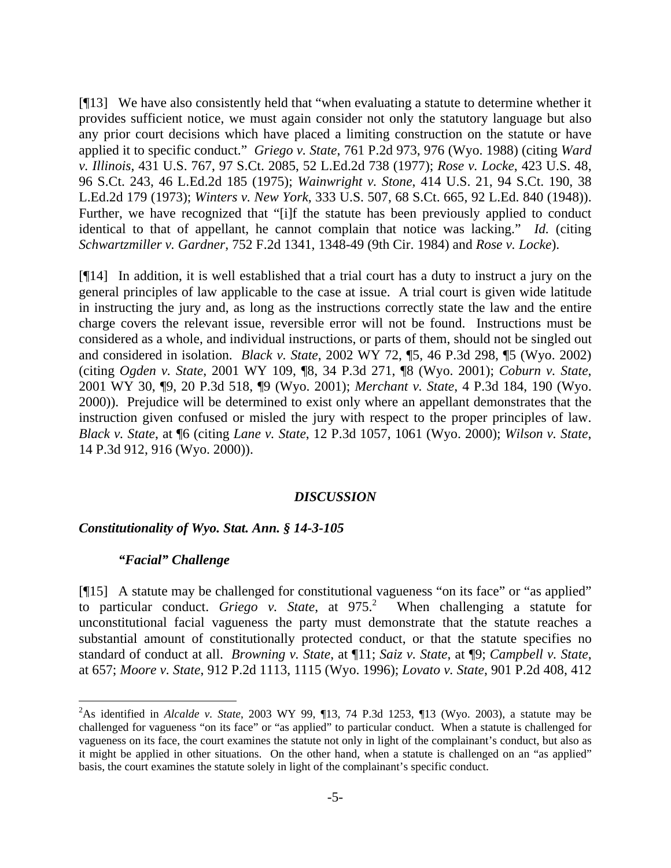[¶13] We have also consistently held that "when evaluating a statute to determine whether it provides sufficient notice, we must again consider not only the statutory language but also any prior court decisions which have placed a limiting construction on the statute or have applied it to specific conduct." *Griego v. State*, 761 P.2d 973, 976 (Wyo. 1988) (citing *Ward v. Illinois*, 431 U.S. 767, 97 S.Ct. 2085, 52 L.Ed.2d 738 (1977); *Rose v. Locke*, 423 U.S. 48, 96 S.Ct. 243, 46 L.Ed.2d 185 (1975); *Wainwright v. Stone*, 414 U.S. 21, 94 S.Ct. 190, 38 L.Ed.2d 179 (1973); *Winters v. New York*, 333 U.S. 507, 68 S.Ct. 665, 92 L.Ed. 840 (1948)). Further, we have recognized that "[i]f the statute has been previously applied to conduct identical to that of appellant, he cannot complain that notice was lacking." *Id.* (citing *Schwartzmiller v. Gardner*, 752 F.2d 1341, 1348-49 (9th Cir. 1984) and *Rose v. Locke*).

[¶14] In addition, it is well established that a trial court has a duty to instruct a jury on the general principles of law applicable to the case at issue. A trial court is given wide latitude in instructing the jury and, as long as the instructions correctly state the law and the entire charge covers the relevant issue, reversible error will not be found. Instructions must be considered as a whole, and individual instructions, or parts of them, should not be singled out and considered in isolation. *Black v. State*, 2002 WY 72, ¶5, 46 P.3d 298, ¶5 (Wyo. 2002) (citing *Ogden v. State*, 2001 WY 109, ¶8, 34 P.3d 271, ¶8 (Wyo. 2001); *Coburn v. State*, 2001 WY 30, ¶9, 20 P.3d 518, ¶9 (Wyo. 2001); *Merchant v. State*, 4 P.3d 184, 190 (Wyo. 2000)). Prejudice will be determined to exist only where an appellant demonstrates that the instruction given confused or misled the jury with respect to the proper principles of law. *Black v. State*, at ¶6 (citing *Lane v. State*, 12 P.3d 1057, 1061 (Wyo. 2000); *Wilson v. State*, 14 P.3d 912, 916 (Wyo. 2000)).

#### *DISCUSSION*

### *Constitutionality of Wyo. Stat. Ann. § 14-3-105*

#### *"Facial" Challenge*

[¶15] A statute may be challenged for constitutional vagueness "on its face" or "as applied" to particular conduct. *Griego v. State*, at 975<sup>2</sup> When challenging a statute for unconstitutional facial vagueness the party must demonstrate that the statute reaches a substantial amount of constitutionally protected conduct, or that the statute specifies no standard of conduct at all. *Browning v. State*, at ¶11; *Saiz v. State*, at ¶9; *Campbell v. State*, at 657; *Moore v. State*, 912 P.2d 1113, 1115 (Wyo. 1996); *Lovato v. State*, 901 P.2d 408, 412

<sup>2</sup> As identified in *Alcalde v. State*, 2003 WY 99, ¶13, 74 P.3d 1253, ¶13 (Wyo. 2003), a statute may be challenged for vagueness "on its face" or "as applied" to particular conduct. When a statute is challenged for vagueness on its face, the court examines the statute not only in light of the complainant's conduct, but also as it might be applied in other situations. On the other hand, when a statute is challenged on an "as applied" basis, the court examines the statute solely in light of the complainant's specific conduct.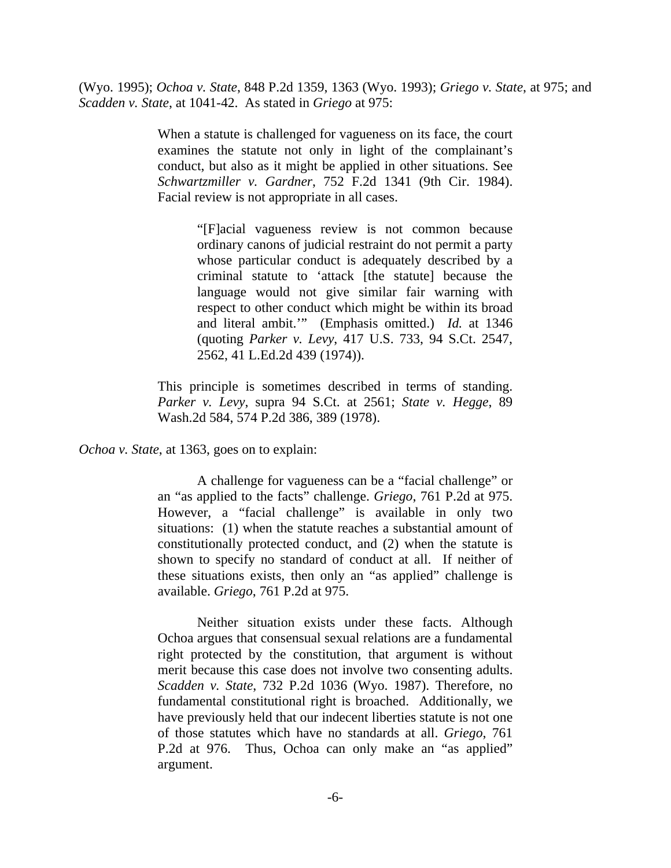(Wyo. 1995); *Ochoa v. State*, 848 P.2d 1359, 1363 (Wyo. 1993); *Griego v. State*, at 975; and *Scadden v. State*, at 1041-42. As stated in *Griego* at 975:

> When a statute is challenged for vagueness on its face, the court examines the statute not only in light of the complainant's conduct, but also as it might be applied in other situations. See *Schwartzmiller v. Gardner*, 752 F.2d 1341 (9th Cir. 1984). Facial review is not appropriate in all cases.

> > "[F]acial vagueness review is not common because ordinary canons of judicial restraint do not permit a party whose particular conduct is adequately described by a criminal statute to 'attack [the statute] because the language would not give similar fair warning with respect to other conduct which might be within its broad and literal ambit.'" (Emphasis omitted.) *Id.* at 1346 (quoting *Parker v. Levy*, 417 U.S. 733, 94 S.Ct. 2547, 2562, 41 L.Ed.2d 439 (1974)).

This principle is sometimes described in terms of standing. *Parker v. Levy*, supra 94 S.Ct. at 2561; *State v. Hegge*, 89 Wash.2d 584, 574 P.2d 386, 389 (1978).

*Ochoa v. State*, at 1363, goes on to explain:

 A challenge for vagueness can be a "facial challenge" or an "as applied to the facts" challenge. *Griego*, 761 P.2d at 975. However, a "facial challenge" is available in only two situations: (1) when the statute reaches a substantial amount of constitutionally protected conduct, and (2) when the statute is shown to specify no standard of conduct at all. If neither of these situations exists, then only an "as applied" challenge is available. *Griego*, 761 P.2d at 975.

 Neither situation exists under these facts. Although Ochoa argues that consensual sexual relations are a fundamental right protected by the constitution, that argument is without merit because this case does not involve two consenting adults. *Scadden v. State*, 732 P.2d 1036 (Wyo. 1987). Therefore, no fundamental constitutional right is broached. Additionally, we have previously held that our indecent liberties statute is not one of those statutes which have no standards at all. *Griego*, 761 P.2d at 976. Thus, Ochoa can only make an "as applied" argument.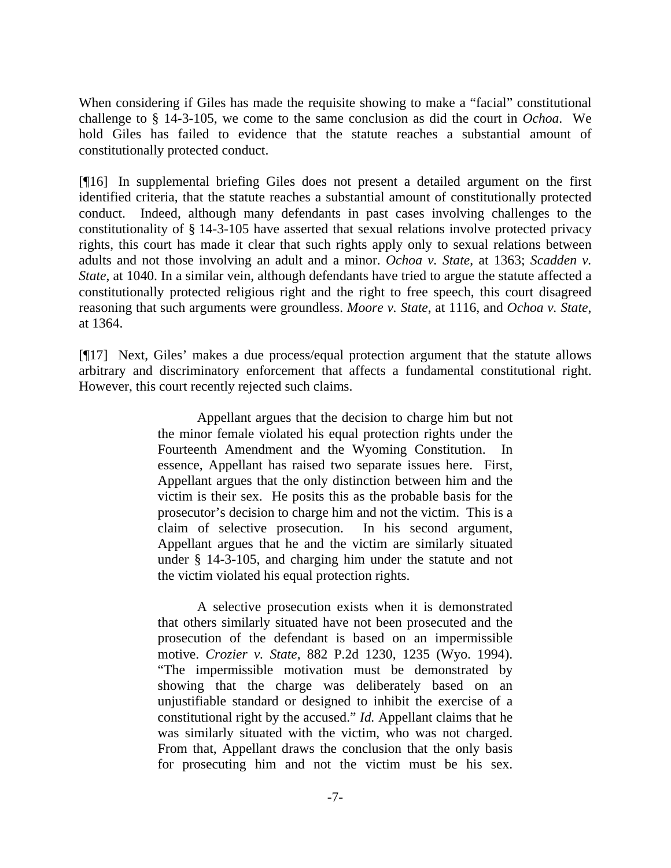When considering if Giles has made the requisite showing to make a "facial" constitutional challenge to § 14-3-105, we come to the same conclusion as did the court in *Ochoa*. We hold Giles has failed to evidence that the statute reaches a substantial amount of constitutionally protected conduct.

[¶16] In supplemental briefing Giles does not present a detailed argument on the first identified criteria, that the statute reaches a substantial amount of constitutionally protected conduct. Indeed, although many defendants in past cases involving challenges to the constitutionality of § 14-3-105 have asserted that sexual relations involve protected privacy rights, this court has made it clear that such rights apply only to sexual relations between adults and not those involving an adult and a minor. *Ochoa v. State*, at 1363; *Scadden v. State*, at 1040. In a similar vein, although defendants have tried to argue the statute affected a constitutionally protected religious right and the right to free speech, this court disagreed reasoning that such arguments were groundless. *Moore v. State*, at 1116, and *Ochoa v. State*, at 1364.

[¶17] Next, Giles' makes a due process/equal protection argument that the statute allows arbitrary and discriminatory enforcement that affects a fundamental constitutional right. However, this court recently rejected such claims.

> Appellant argues that the decision to charge him but not the minor female violated his equal protection rights under the Fourteenth Amendment and the Wyoming Constitution. In essence, Appellant has raised two separate issues here. First, Appellant argues that the only distinction between him and the victim is their sex. He posits this as the probable basis for the prosecutor's decision to charge him and not the victim. This is a claim of selective prosecution. In his second argument, Appellant argues that he and the victim are similarly situated under § 14-3-105, and charging him under the statute and not the victim violated his equal protection rights.

> A selective prosecution exists when it is demonstrated that others similarly situated have not been prosecuted and the prosecution of the defendant is based on an impermissible motive. *Crozier v. State*, 882 P.2d 1230, 1235 (Wyo. 1994). "The impermissible motivation must be demonstrated by showing that the charge was deliberately based on an unjustifiable standard or designed to inhibit the exercise of a constitutional right by the accused." *Id.* Appellant claims that he was similarly situated with the victim, who was not charged. From that, Appellant draws the conclusion that the only basis for prosecuting him and not the victim must be his sex.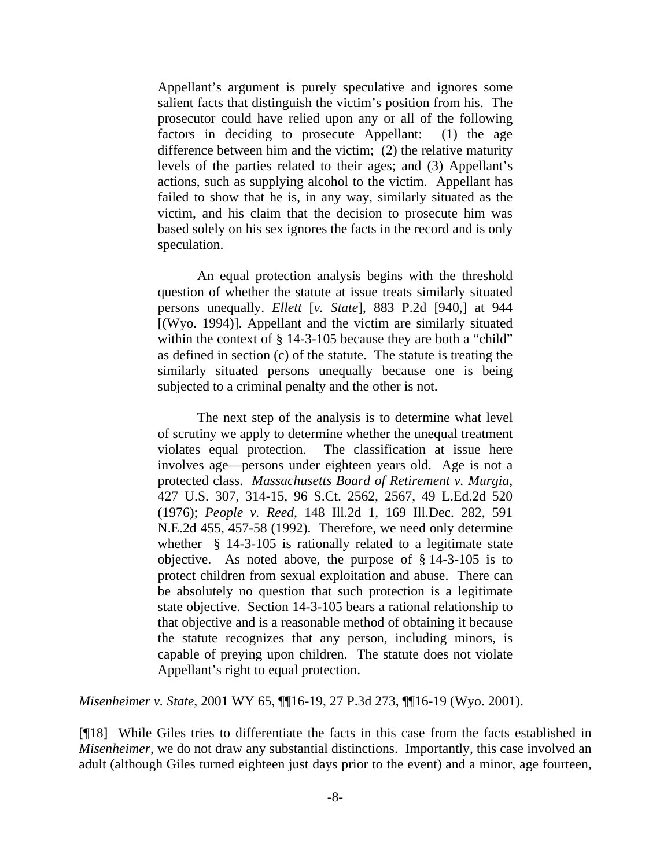Appellant's argument is purely speculative and ignores some salient facts that distinguish the victim's position from his. The prosecutor could have relied upon any or all of the following factors in deciding to prosecute Appellant: (1) the age difference between him and the victim; (2) the relative maturity levels of the parties related to their ages; and (3) Appellant's actions, such as supplying alcohol to the victim. Appellant has failed to show that he is, in any way, similarly situated as the victim, and his claim that the decision to prosecute him was based solely on his sex ignores the facts in the record and is only speculation.

 An equal protection analysis begins with the threshold question of whether the statute at issue treats similarly situated persons unequally. *Ellett* [*v. State*], 883 P.2d [940,] at 944 [(Wyo. 1994)]. Appellant and the victim are similarly situated within the context of § 14-3-105 because they are both a "child" as defined in section (c) of the statute. The statute is treating the similarly situated persons unequally because one is being subjected to a criminal penalty and the other is not.

 The next step of the analysis is to determine what level of scrutiny we apply to determine whether the unequal treatment violates equal protection. The classification at issue here involves age—persons under eighteen years old. Age is not a protected class. *Massachusetts Board of Retirement v. Murgia*, 427 U.S. 307, 314-15, 96 S.Ct. 2562, 2567, 49 L.Ed.2d 520 (1976); *People v. Reed*, 148 Ill.2d 1, 169 Ill.Dec. 282, 591 N.E.2d 455, 457-58 (1992). Therefore, we need only determine whether § 14-3-105 is rationally related to a legitimate state objective. As noted above, the purpose of § 14-3-105 is to protect children from sexual exploitation and abuse. There can be absolutely no question that such protection is a legitimate state objective. Section 14-3-105 bears a rational relationship to that objective and is a reasonable method of obtaining it because the statute recognizes that any person, including minors, is capable of preying upon children. The statute does not violate Appellant's right to equal protection.

*Misenheimer v. State*, 2001 WY 65, ¶¶16-19, 27 P.3d 273, ¶¶16-19 (Wyo. 2001).

[¶18] While Giles tries to differentiate the facts in this case from the facts established in *Misenheimer*, we do not draw any substantial distinctions. Importantly, this case involved an adult (although Giles turned eighteen just days prior to the event) and a minor, age fourteen,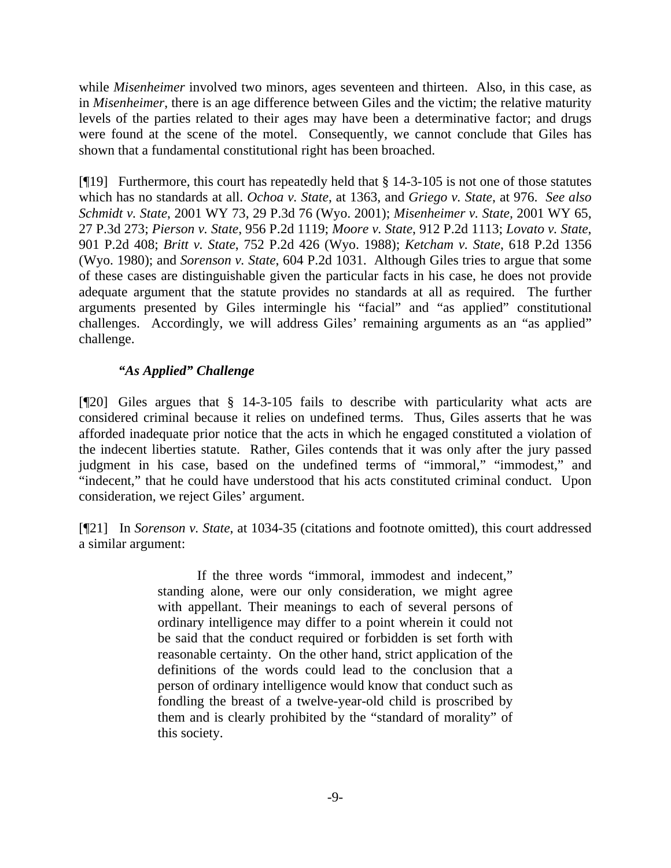while *Misenheimer* involved two minors, ages seventeen and thirteen. Also, in this case, as in *Misenheimer*, there is an age difference between Giles and the victim; the relative maturity levels of the parties related to their ages may have been a determinative factor; and drugs were found at the scene of the motel. Consequently, we cannot conclude that Giles has shown that a fundamental constitutional right has been broached.

[ $\P$ 19] Furthermore, this court has repeatedly held that  $\S$  14-3-105 is not one of those statutes which has no standards at all. *Ochoa v. State*, at 1363, and *Griego v. State*, at 976. *See also Schmidt v. State*, 2001 WY 73, 29 P.3d 76 (Wyo. 2001); *Misenheimer v. State,* 2001 WY 65, 27 P.3d 273; *Pierson v. State*, 956 P.2d 1119; *Moore v. State*, 912 P.2d 1113; *Lovato v. State*, 901 P.2d 408; *Britt v. State*, 752 P.2d 426 (Wyo. 1988); *Ketcham v. State*, 618 P.2d 1356 (Wyo. 1980); and *Sorenson v. State*, 604 P.2d 1031. Although Giles tries to argue that some of these cases are distinguishable given the particular facts in his case, he does not provide adequate argument that the statute provides no standards at all as required. The further arguments presented by Giles intermingle his "facial" and "as applied" constitutional challenges. Accordingly, we will address Giles' remaining arguments as an "as applied" challenge.

# *"As Applied" Challenge*

[¶20] Giles argues that § 14-3-105 fails to describe with particularity what acts are considered criminal because it relies on undefined terms. Thus, Giles asserts that he was afforded inadequate prior notice that the acts in which he engaged constituted a violation of the indecent liberties statute. Rather, Giles contends that it was only after the jury passed judgment in his case, based on the undefined terms of "immoral," "immodest," and "indecent," that he could have understood that his acts constituted criminal conduct. Upon consideration, we reject Giles' argument.

[¶21] In *Sorenson v. State*, at 1034-35 (citations and footnote omitted), this court addressed a similar argument:

> If the three words "immoral, immodest and indecent," standing alone, were our only consideration, we might agree with appellant. Their meanings to each of several persons of ordinary intelligence may differ to a point wherein it could not be said that the conduct required or forbidden is set forth with reasonable certainty. On the other hand, strict application of the definitions of the words could lead to the conclusion that a person of ordinary intelligence would know that conduct such as fondling the breast of a twelve-year-old child is proscribed by them and is clearly prohibited by the "standard of morality" of this society.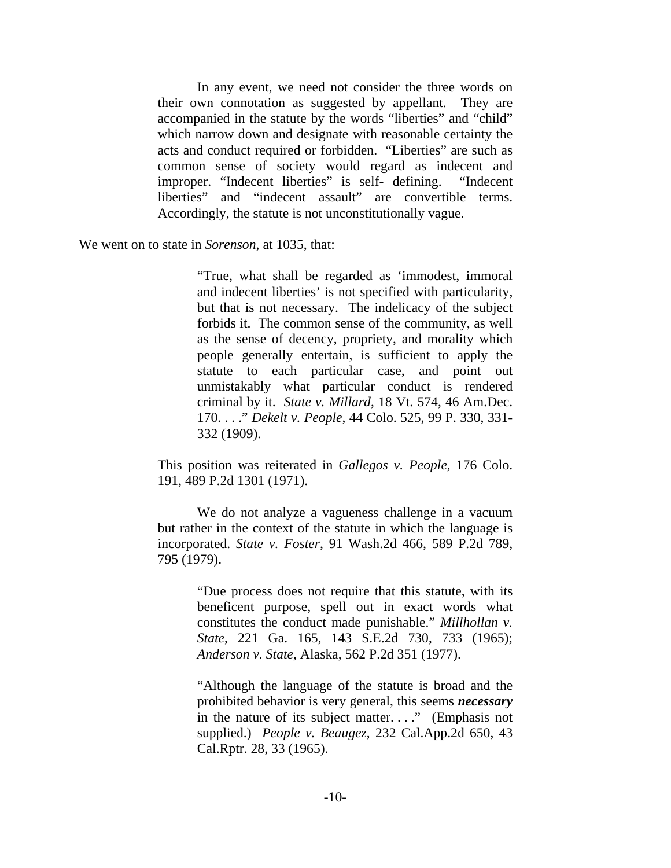In any event, we need not consider the three words on their own connotation as suggested by appellant. They are accompanied in the statute by the words "liberties" and "child" which narrow down and designate with reasonable certainty the acts and conduct required or forbidden. "Liberties" are such as common sense of society would regard as indecent and improper. "Indecent liberties" is self- defining. "Indecent liberties" and "indecent assault" are convertible terms. Accordingly, the statute is not unconstitutionally vague.

We went on to state in *Sorenson*, at 1035, that:

"True, what shall be regarded as 'immodest, immoral and indecent liberties' is not specified with particularity, but that is not necessary. The indelicacy of the subject forbids it. The common sense of the community, as well as the sense of decency, propriety, and morality which people generally entertain, is sufficient to apply the statute to each particular case, and point out unmistakably what particular conduct is rendered criminal by it. *State v. Millard*, 18 Vt. 574, 46 Am.Dec. 170. . . ." *Dekelt v. People*, 44 Colo. 525, 99 P. 330, 331- 332 (1909).

This position was reiterated in *Gallegos v. People*, 176 Colo. 191, 489 P.2d 1301 (1971).

 We do not analyze a vagueness challenge in a vacuum but rather in the context of the statute in which the language is incorporated. *State v. Foster*, 91 Wash.2d 466, 589 P.2d 789, 795 (1979).

> "Due process does not require that this statute, with its beneficent purpose, spell out in exact words what constitutes the conduct made punishable." *Millhollan v. State*, 221 Ga. 165, 143 S.E.2d 730, 733 (1965); *Anderson v. State*, Alaska, 562 P.2d 351 (1977).

> "Although the language of the statute is broad and the prohibited behavior is very general, this seems *necessary* in the nature of its subject matter. . . ." (Emphasis not supplied.) *People v. Beaugez*, 232 Cal.App.2d 650, 43 Cal.Rptr. 28, 33 (1965).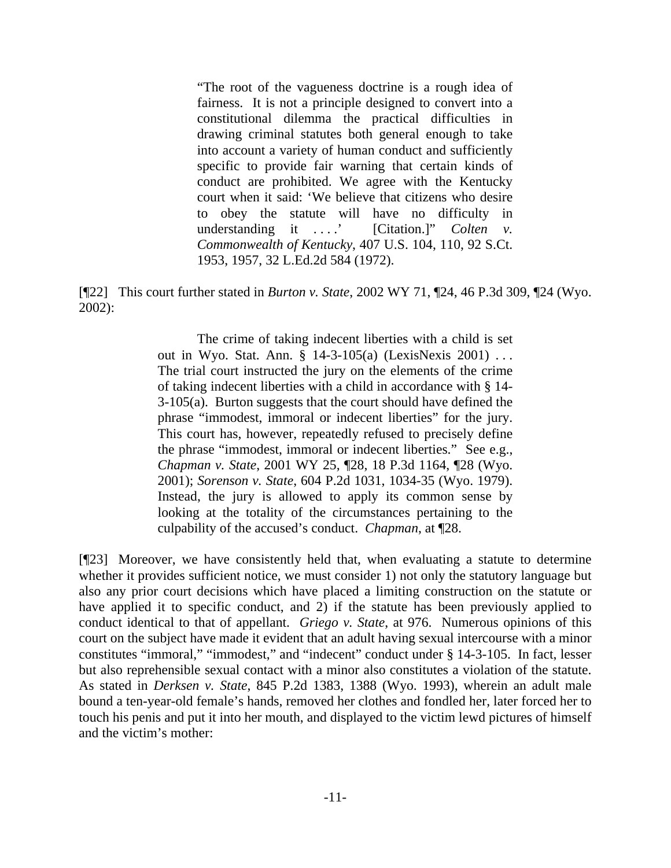"The root of the vagueness doctrine is a rough idea of fairness. It is not a principle designed to convert into a constitutional dilemma the practical difficulties in drawing criminal statutes both general enough to take into account a variety of human conduct and sufficiently specific to provide fair warning that certain kinds of conduct are prohibited. We agree with the Kentucky court when it said: 'We believe that citizens who desire to obey the statute will have no difficulty in understanding it ....<sup>'</sup> [Citation.]'' *Colten v. Commonwealth of Kentucky*, 407 U.S. 104, 110, 92 S.Ct. 1953, 1957, 32 L.Ed.2d 584 (1972).

[¶22] This court further stated in *Burton v. State*, 2002 WY 71, ¶24, 46 P.3d 309, ¶24 (Wyo. 2002):

> The crime of taking indecent liberties with a child is set out in Wyo. Stat. Ann. § 14-3-105(a) (LexisNexis 2001) . . . The trial court instructed the jury on the elements of the crime of taking indecent liberties with a child in accordance with § 14- 3-105(a). Burton suggests that the court should have defined the phrase "immodest, immoral or indecent liberties" for the jury. This court has, however, repeatedly refused to precisely define the phrase "immodest, immoral or indecent liberties." See e.g., *Chapman v. State*, 2001 WY 25, ¶28, 18 P.3d 1164, ¶28 (Wyo. 2001); *Sorenson v. State*, 604 P.2d 1031, 1034-35 (Wyo. 1979). Instead, the jury is allowed to apply its common sense by looking at the totality of the circumstances pertaining to the culpability of the accused's conduct. *Chapman*, at ¶28.

[¶23] Moreover, we have consistently held that, when evaluating a statute to determine whether it provides sufficient notice, we must consider 1) not only the statutory language but also any prior court decisions which have placed a limiting construction on the statute or have applied it to specific conduct, and 2) if the statute has been previously applied to conduct identical to that of appellant. *Griego v. State*, at 976. Numerous opinions of this court on the subject have made it evident that an adult having sexual intercourse with a minor constitutes "immoral," "immodest," and "indecent" conduct under § 14-3-105. In fact, lesser but also reprehensible sexual contact with a minor also constitutes a violation of the statute. As stated in *Derksen v. State*, 845 P.2d 1383, 1388 (Wyo. 1993), wherein an adult male bound a ten-year-old female's hands, removed her clothes and fondled her, later forced her to touch his penis and put it into her mouth, and displayed to the victim lewd pictures of himself and the victim's mother: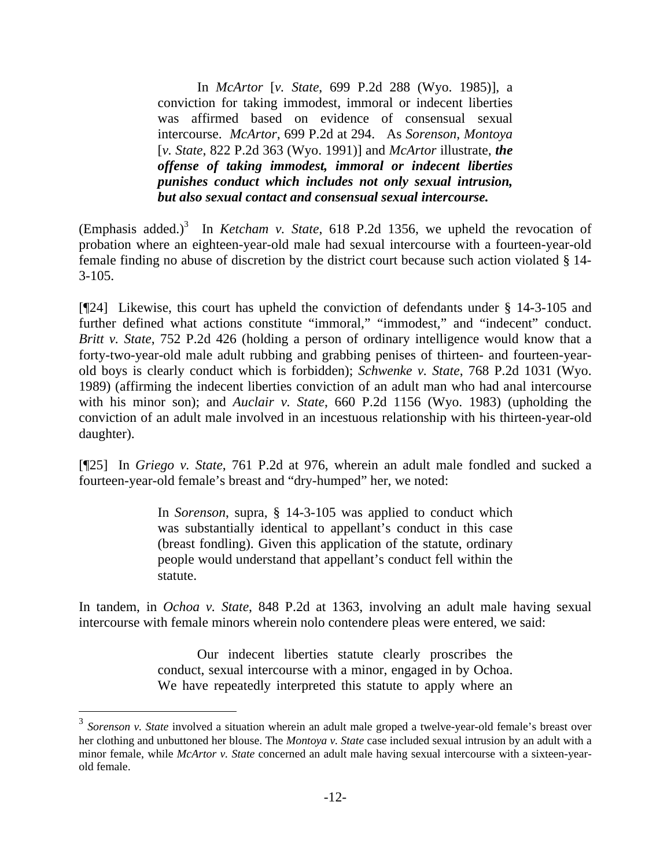In *McArtor* [*v. State*, 699 P.2d 288 (Wyo. 1985)], a conviction for taking immodest, immoral or indecent liberties was affirmed based on evidence of consensual sexual intercourse. *McArtor*, 699 P.2d at 294. As *Sorenson*, *Montoya* [*v. State*, 822 P.2d 363 (Wyo. 1991)] and *McArtor* illustrate, *the offense of taking immodest, immoral or indecent liberties punishes conduct which includes not only sexual intrusion, but also sexual contact and consensual sexual intercourse.* 

(Emphasis added.)<sup>3</sup> In *Ketcham v. State*, 618 P.2d 1356, we upheld the revocation of probation where an eighteen-year-old male had sexual intercourse with a fourteen-year-old female finding no abuse of discretion by the district court because such action violated § 14-  $3-105$ .

[¶24] Likewise, this court has upheld the conviction of defendants under § 14-3-105 and further defined what actions constitute "immoral," "immodest," and "indecent" conduct. *Britt v. State*, 752 P.2d 426 (holding a person of ordinary intelligence would know that a forty-two-year-old male adult rubbing and grabbing penises of thirteen- and fourteen-yearold boys is clearly conduct which is forbidden); *Schwenke v. State*, 768 P.2d 1031 (Wyo. 1989) (affirming the indecent liberties conviction of an adult man who had anal intercourse with his minor son); and *Auclair v. State*, 660 P.2d 1156 (Wyo. 1983) (upholding the conviction of an adult male involved in an incestuous relationship with his thirteen-year-old daughter).

[¶25] In *Griego v. State*, 761 P.2d at 976, wherein an adult male fondled and sucked a fourteen-year-old female's breast and "dry-humped" her, we noted:

> In *Sorenson*, supra, § 14-3-105 was applied to conduct which was substantially identical to appellant's conduct in this case (breast fondling). Given this application of the statute, ordinary people would understand that appellant's conduct fell within the statute.

In tandem, in *Ochoa v. State*, 848 P.2d at 1363, involving an adult male having sexual intercourse with female minors wherein nolo contendere pleas were entered, we said:

> Our indecent liberties statute clearly proscribes the conduct, sexual intercourse with a minor, engaged in by Ochoa. We have repeatedly interpreted this statute to apply where an

<sup>3</sup> *Sorenson v. State* involved a situation wherein an adult male groped a twelve-year-old female's breast over her clothing and unbuttoned her blouse. The *Montoya v. State* case included sexual intrusion by an adult with a minor female, while *McArtor v. State* concerned an adult male having sexual intercourse with a sixteen-yearold female.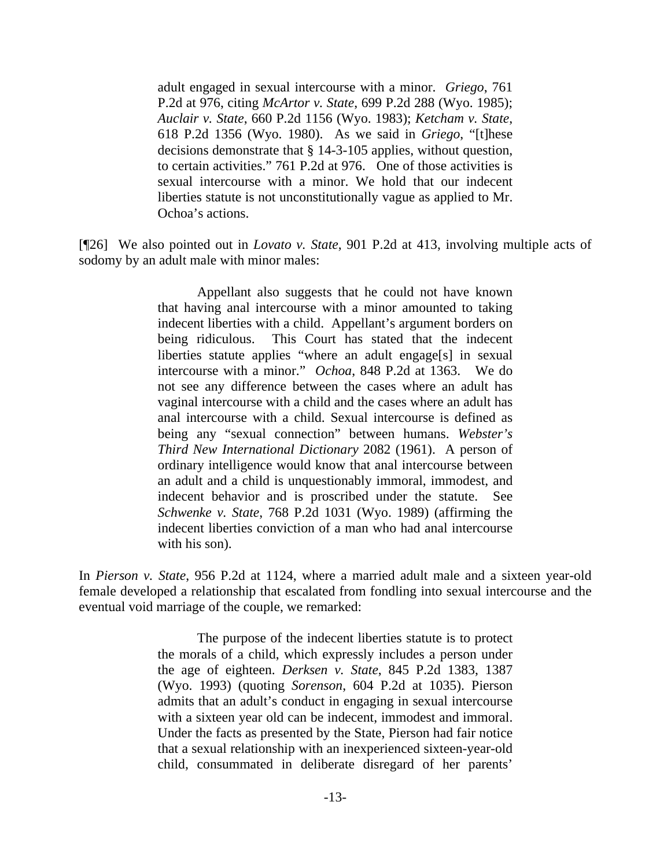adult engaged in sexual intercourse with a minor. *Griego*, 761 P.2d at 976, citing *McArtor v. State*, 699 P.2d 288 (Wyo. 1985); *Auclair v. State*, 660 P.2d 1156 (Wyo. 1983); *Ketcham v. State*, 618 P.2d 1356 (Wyo. 1980). As we said in *Griego*, "[t]hese decisions demonstrate that § 14-3-105 applies, without question, to certain activities." 761 P.2d at 976. One of those activities is sexual intercourse with a minor. We hold that our indecent liberties statute is not unconstitutionally vague as applied to Mr. Ochoa's actions.

[¶26] We also pointed out in *Lovato v. State*, 901 P.2d at 413, involving multiple acts of sodomy by an adult male with minor males:

> Appellant also suggests that he could not have known that having anal intercourse with a minor amounted to taking indecent liberties with a child. Appellant's argument borders on being ridiculous. This Court has stated that the indecent liberties statute applies "where an adult engage[s] in sexual intercourse with a minor." *Ochoa*, 848 P.2d at 1363. We do not see any difference between the cases where an adult has vaginal intercourse with a child and the cases where an adult has anal intercourse with a child. Sexual intercourse is defined as being any "sexual connection" between humans. *Webster's Third New International Dictionary* 2082 (1961). A person of ordinary intelligence would know that anal intercourse between an adult and a child is unquestionably immoral, immodest, and indecent behavior and is proscribed under the statute. See *Schwenke v. State*, 768 P.2d 1031 (Wyo. 1989) (affirming the indecent liberties conviction of a man who had anal intercourse with his son).

In *Pierson v. State*, 956 P.2d at 1124, where a married adult male and a sixteen year-old female developed a relationship that escalated from fondling into sexual intercourse and the eventual void marriage of the couple, we remarked:

> The purpose of the indecent liberties statute is to protect the morals of a child, which expressly includes a person under the age of eighteen. *Derksen v. State*, 845 P.2d 1383, 1387 (Wyo. 1993) (quoting *Sorenson*, 604 P.2d at 1035). Pierson admits that an adult's conduct in engaging in sexual intercourse with a sixteen year old can be indecent, immodest and immoral. Under the facts as presented by the State, Pierson had fair notice that a sexual relationship with an inexperienced sixteen-year-old child, consummated in deliberate disregard of her parents'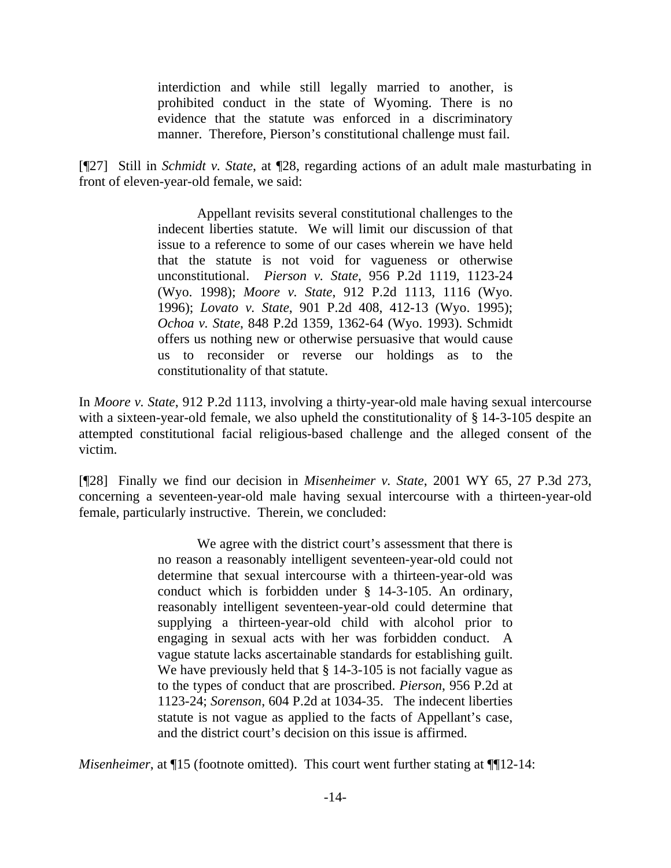interdiction and while still legally married to another, is prohibited conduct in the state of Wyoming. There is no evidence that the statute was enforced in a discriminatory manner. Therefore, Pierson's constitutional challenge must fail.

[¶27] Still in *Schmidt v. State*, at ¶28, regarding actions of an adult male masturbating in front of eleven-year-old female, we said:

> Appellant revisits several constitutional challenges to the indecent liberties statute. We will limit our discussion of that issue to a reference to some of our cases wherein we have held that the statute is not void for vagueness or otherwise unconstitutional. *Pierson v. State*, 956 P.2d 1119, 1123-24 (Wyo. 1998); *Moore v. State*, 912 P.2d 1113, 1116 (Wyo. 1996); *Lovato v. State*, 901 P.2d 408, 412-13 (Wyo. 1995); *Ochoa v. State*, 848 P.2d 1359, 1362-64 (Wyo. 1993). Schmidt offers us nothing new or otherwise persuasive that would cause us to reconsider or reverse our holdings as to the constitutionality of that statute.

In *Moore v. State*, 912 P.2d 1113, involving a thirty-year-old male having sexual intercourse with a sixteen-year-old female, we also upheld the constitutionality of § 14-3-105 despite an attempted constitutional facial religious-based challenge and the alleged consent of the victim.

[¶28] Finally we find our decision in *Misenheimer v. State*, 2001 WY 65, 27 P.3d 273, concerning a seventeen-year-old male having sexual intercourse with a thirteen-year-old female, particularly instructive. Therein, we concluded:

> We agree with the district court's assessment that there is no reason a reasonably intelligent seventeen-year-old could not determine that sexual intercourse with a thirteen-year-old was conduct which is forbidden under § 14-3-105. An ordinary, reasonably intelligent seventeen-year-old could determine that supplying a thirteen-year-old child with alcohol prior to engaging in sexual acts with her was forbidden conduct. A vague statute lacks ascertainable standards for establishing guilt. We have previously held that  $\S$  14-3-105 is not facially vague as to the types of conduct that are proscribed. *Pierson*, 956 P.2d at 1123-24; *Sorenson*, 604 P.2d at 1034-35. The indecent liberties statute is not vague as applied to the facts of Appellant's case, and the district court's decision on this issue is affirmed.

*Misenheimer*, at  $\P$ 15 (footnote omitted). This court went further stating at  $\P$ <sup>12-14:</sup>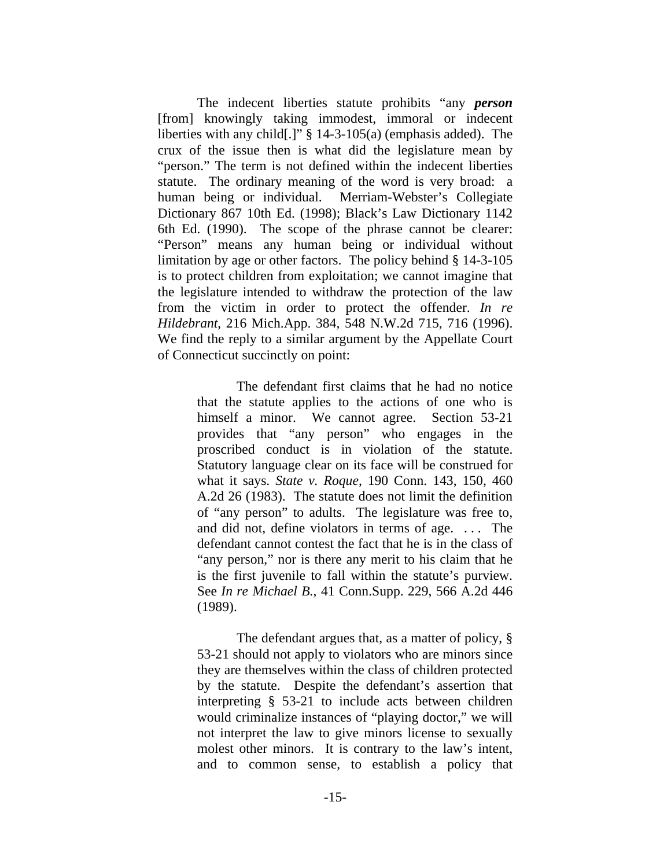The indecent liberties statute prohibits "any *person* [from] knowingly taking immodest, immoral or indecent liberties with any child[.]" § 14-3-105(a) (emphasis added). The crux of the issue then is what did the legislature mean by "person." The term is not defined within the indecent liberties statute. The ordinary meaning of the word is very broad: a human being or individual. Merriam-Webster's Collegiate Dictionary 867 10th Ed. (1998); Black's Law Dictionary 1142 6th Ed. (1990). The scope of the phrase cannot be clearer: "Person" means any human being or individual without limitation by age or other factors. The policy behind § 14-3-105 is to protect children from exploitation; we cannot imagine that the legislature intended to withdraw the protection of the law from the victim in order to protect the offender. *In re Hildebrant*, 216 Mich.App. 384, 548 N.W.2d 715, 716 (1996). We find the reply to a similar argument by the Appellate Court of Connecticut succinctly on point:

> The defendant first claims that he had no notice that the statute applies to the actions of one who is himself a minor. We cannot agree. Section 53-21 provides that "any person" who engages in the proscribed conduct is in violation of the statute. Statutory language clear on its face will be construed for what it says. *State v. Roque*, 190 Conn. 143, 150, 460 A.2d 26 (1983). The statute does not limit the definition of "any person" to adults. The legislature was free to, and did not, define violators in terms of age. . . . The defendant cannot contest the fact that he is in the class of "any person," nor is there any merit to his claim that he is the first juvenile to fall within the statute's purview. See *In re Michael B.*, 41 Conn.Supp. 229, 566 A.2d 446 (1989).

> The defendant argues that, as a matter of policy, § 53-21 should not apply to violators who are minors since they are themselves within the class of children protected by the statute. Despite the defendant's assertion that interpreting § 53-21 to include acts between children would criminalize instances of "playing doctor," we will not interpret the law to give minors license to sexually molest other minors. It is contrary to the law's intent, and to common sense, to establish a policy that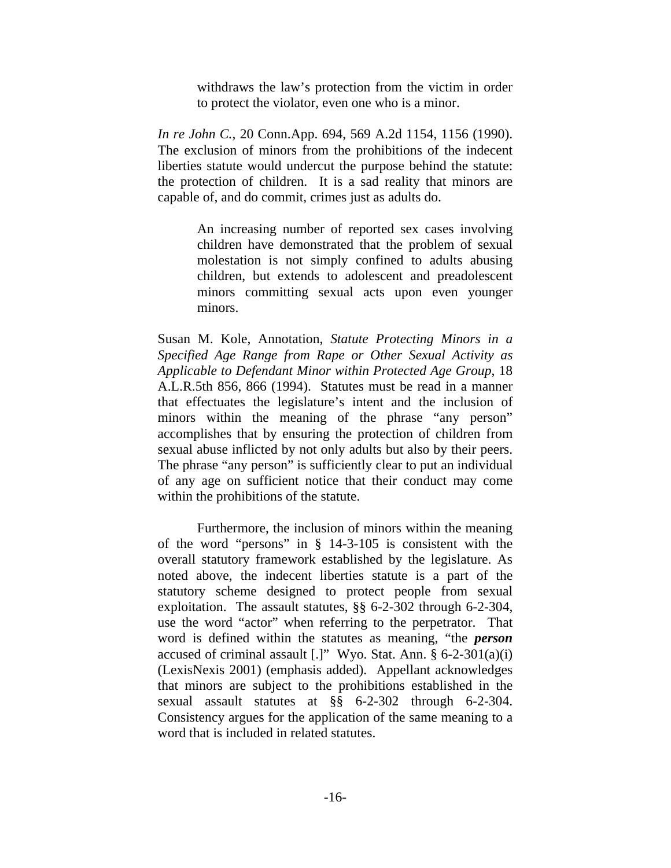withdraws the law's protection from the victim in order to protect the violator, even one who is a minor.

*In re John C.*, 20 Conn.App. 694, 569 A.2d 1154, 1156 (1990). The exclusion of minors from the prohibitions of the indecent liberties statute would undercut the purpose behind the statute: the protection of children. It is a sad reality that minors are capable of, and do commit, crimes just as adults do.

> An increasing number of reported sex cases involving children have demonstrated that the problem of sexual molestation is not simply confined to adults abusing children, but extends to adolescent and preadolescent minors committing sexual acts upon even younger minors.

Susan M. Kole, Annotation, *Statute Protecting Minors in a Specified Age Range from Rape or Other Sexual Activity as Applicable to Defendant Minor within Protected Age Group*, 18 A.L.R.5th 856, 866 (1994). Statutes must be read in a manner that effectuates the legislature's intent and the inclusion of minors within the meaning of the phrase "any person" accomplishes that by ensuring the protection of children from sexual abuse inflicted by not only adults but also by their peers. The phrase "any person" is sufficiently clear to put an individual of any age on sufficient notice that their conduct may come within the prohibitions of the statute.

 Furthermore, the inclusion of minors within the meaning of the word "persons" in § 14-3-105 is consistent with the overall statutory framework established by the legislature. As noted above, the indecent liberties statute is a part of the statutory scheme designed to protect people from sexual exploitation. The assault statutes, §§ 6-2-302 through 6-2-304, use the word "actor" when referring to the perpetrator. That word is defined within the statutes as meaning, "the *person* accused of criminal assault [.]" Wyo. Stat. Ann. § 6-2-301(a)(i) (LexisNexis 2001) (emphasis added). Appellant acknowledges that minors are subject to the prohibitions established in the sexual assault statutes at §§ 6-2-302 through 6-2-304. Consistency argues for the application of the same meaning to a word that is included in related statutes.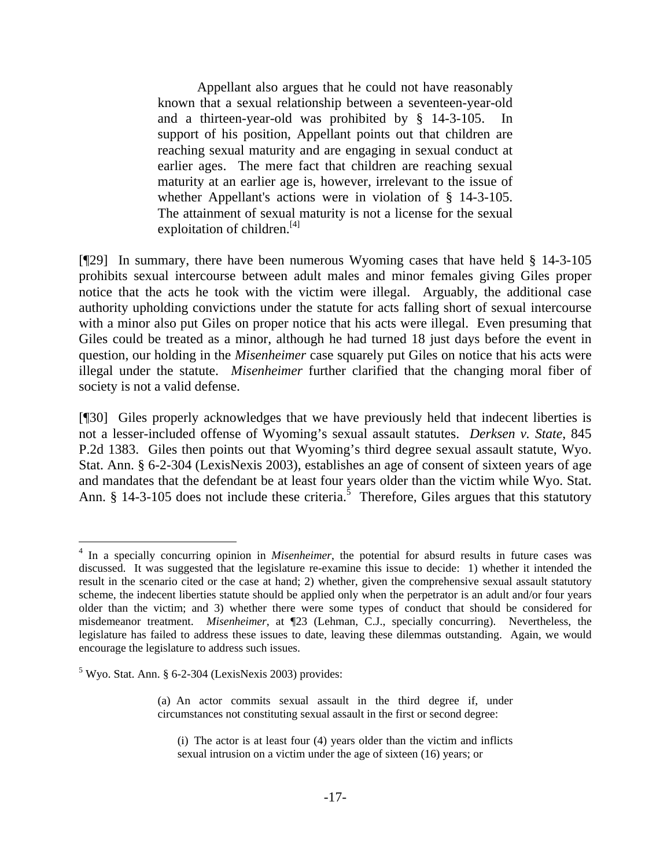Appellant also argues that he could not have reasonably known that a sexual relationship between a seventeen-year-old and a thirteen-year-old was prohibited by § 14-3-105. In support of his position, Appellant points out that children are reaching sexual maturity and are engaging in sexual conduct at earlier ages. The mere fact that children are reaching sexual maturity at an earlier age is, however, irrelevant to the issue of whether Appellant's actions were in violation of § 14-3-105. The attainment of sexual maturity is not a license for the sexual exploitation of children. $[4]$ 

[¶29] In summary, there have been numerous Wyoming cases that have held § 14-3-105 prohibits sexual intercourse between adult males and minor females giving Giles proper notice that the acts he took with the victim were illegal. Arguably, the additional case authority upholding convictions under the statute for acts falling short of sexual intercourse with a minor also put Giles on proper notice that his acts were illegal. Even presuming that Giles could be treated as a minor, although he had turned 18 just days before the event in question, our holding in the *Misenheimer* case squarely put Giles on notice that his acts were illegal under the statute. *Misenheimer* further clarified that the changing moral fiber of society is not a valid defense.

[¶30] Giles properly acknowledges that we have previously held that indecent liberties is not a lesser-included offense of Wyoming's sexual assault statutes. *Derksen v. State*, 845 P.2d 1383. Giles then points out that Wyoming's third degree sexual assault statute, Wyo. Stat. Ann. § 6-2-304 (LexisNexis 2003), establishes an age of consent of sixteen years of age and mandates that the defendant be at least four years older than the victim while Wyo. Stat. Ann. § 14-3-105 does not include these criteria.<sup>5</sup> Therefore, Giles argues that this statutory

 $\overline{a}$ 

<sup>&</sup>lt;sup>4</sup> In a specially concurring opinion in *Misenheimer*, the potential for absurd results in future cases was discussed. It was suggested that the legislature re-examine this issue to decide: 1) whether it intended the result in the scenario cited or the case at hand; 2) whether, given the comprehensive sexual assault statutory scheme, the indecent liberties statute should be applied only when the perpetrator is an adult and/or four years older than the victim; and 3) whether there were some types of conduct that should be considered for misdemeanor treatment. *Misenheimer*, at ¶23 (Lehman, C.J., specially concurring). Nevertheless, the legislature has failed to address these issues to date, leaving these dilemmas outstanding. Again, we would encourage the legislature to address such issues.

 $5$  Wyo. Stat. Ann. § 6-2-304 (LexisNexis 2003) provides:

<sup>(</sup>a) An actor commits sexual assault in the third degree if, under circumstances not constituting sexual assault in the first or second degree:

<sup>(</sup>i) The actor is at least four (4) years older than the victim and inflicts sexual intrusion on a victim under the age of sixteen (16) years; or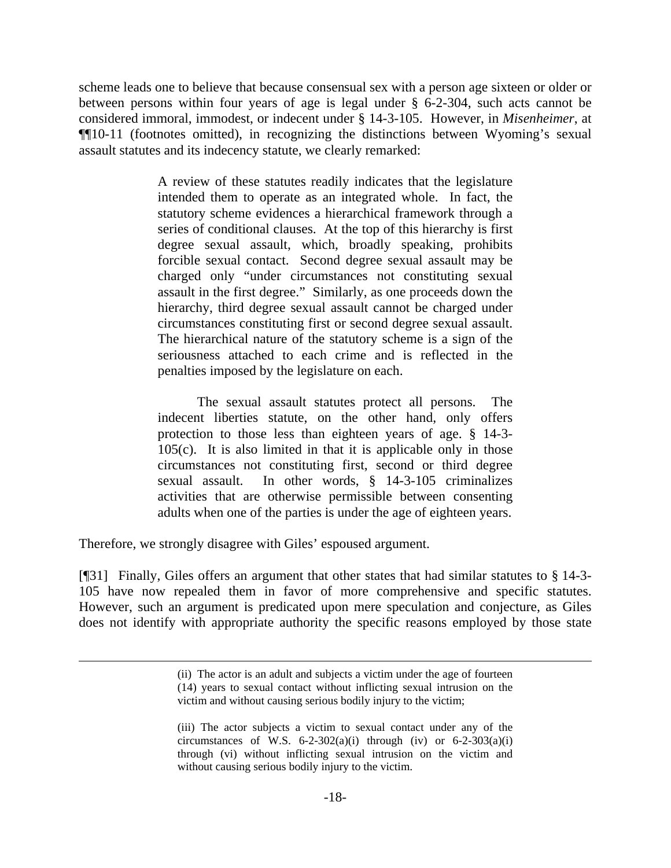scheme leads one to believe that because consensual sex with a person age sixteen or older or between persons within four years of age is legal under § 6-2-304, such acts cannot be considered immoral, immodest, or indecent under § 14-3-105. However, in *Misenheimer*, at ¶¶10-11 (footnotes omitted), in recognizing the distinctions between Wyoming's sexual assault statutes and its indecency statute, we clearly remarked:

> A review of these statutes readily indicates that the legislature intended them to operate as an integrated whole. In fact, the statutory scheme evidences a hierarchical framework through a series of conditional clauses. At the top of this hierarchy is first degree sexual assault, which, broadly speaking, prohibits forcible sexual contact. Second degree sexual assault may be charged only "under circumstances not constituting sexual assault in the first degree." Similarly, as one proceeds down the hierarchy, third degree sexual assault cannot be charged under circumstances constituting first or second degree sexual assault. The hierarchical nature of the statutory scheme is a sign of the seriousness attached to each crime and is reflected in the penalties imposed by the legislature on each.

> The sexual assault statutes protect all persons. The indecent liberties statute, on the other hand, only offers protection to those less than eighteen years of age. § 14-3- 105(c). It is also limited in that it is applicable only in those circumstances not constituting first, second or third degree sexual assault. In other words, § 14-3-105 criminalizes activities that are otherwise permissible between consenting adults when one of the parties is under the age of eighteen years.

Therefore, we strongly disagree with Giles' espoused argument.

 $\overline{a}$ 

[¶31] Finally, Giles offers an argument that other states that had similar statutes to § 14-3- 105 have now repealed them in favor of more comprehensive and specific statutes. However, such an argument is predicated upon mere speculation and conjecture, as Giles does not identify with appropriate authority the specific reasons employed by those state

<sup>(</sup>ii) The actor is an adult and subjects a victim under the age of fourteen (14) years to sexual contact without inflicting sexual intrusion on the victim and without causing serious bodily injury to the victim;

<sup>(</sup>iii) The actor subjects a victim to sexual contact under any of the circumstances of W.S.  $6-2-302(a)(i)$  through (iv) or  $6-2-303(a)(i)$ through (vi) without inflicting sexual intrusion on the victim and without causing serious bodily injury to the victim.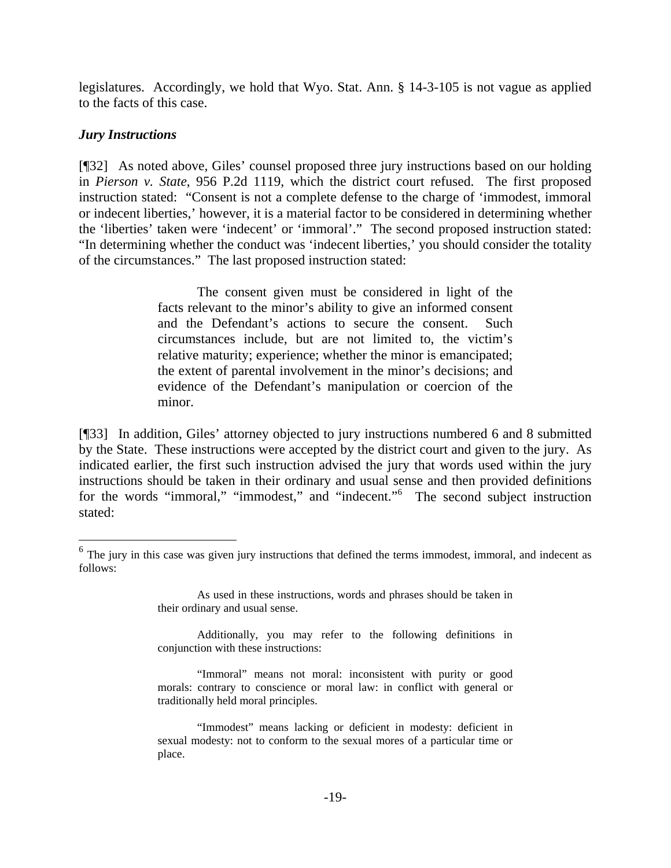legislatures. Accordingly, we hold that Wyo. Stat. Ann. § 14-3-105 is not vague as applied to the facts of this case.

### *Jury Instructions*

[¶32] As noted above, Giles' counsel proposed three jury instructions based on our holding in *Pierson v. State*, 956 P.2d 1119, which the district court refused. The first proposed instruction stated: "Consent is not a complete defense to the charge of 'immodest, immoral or indecent liberties,' however, it is a material factor to be considered in determining whether the 'liberties' taken were 'indecent' or 'immoral'." The second proposed instruction stated: "In determining whether the conduct was 'indecent liberties,' you should consider the totality of the circumstances." The last proposed instruction stated:

> The consent given must be considered in light of the facts relevant to the minor's ability to give an informed consent and the Defendant's actions to secure the consent. Such circumstances include, but are not limited to, the victim's relative maturity; experience; whether the minor is emancipated; the extent of parental involvement in the minor's decisions; and evidence of the Defendant's manipulation or coercion of the minor.

[¶33] In addition, Giles' attorney objected to jury instructions numbered 6 and 8 submitted by the State. These instructions were accepted by the district court and given to the jury. As indicated earlier, the first such instruction advised the jury that words used within the jury instructions should be taken in their ordinary and usual sense and then provided definitions for the words "immoral," "immodest," and "indecent."<sup>6</sup> The second subject instruction stated:

 $6$  The jury in this case was given jury instructions that defined the terms immodest, immoral, and indecent as follows:

As used in these instructions, words and phrases should be taken in their ordinary and usual sense.

Additionally, you may refer to the following definitions in conjunction with these instructions:

 <sup>&</sup>quot;Immoral" means not moral: inconsistent with purity or good morals: contrary to conscience or moral law: in conflict with general or traditionally held moral principles.

 <sup>&</sup>quot;Immodest" means lacking or deficient in modesty: deficient in sexual modesty: not to conform to the sexual mores of a particular time or place.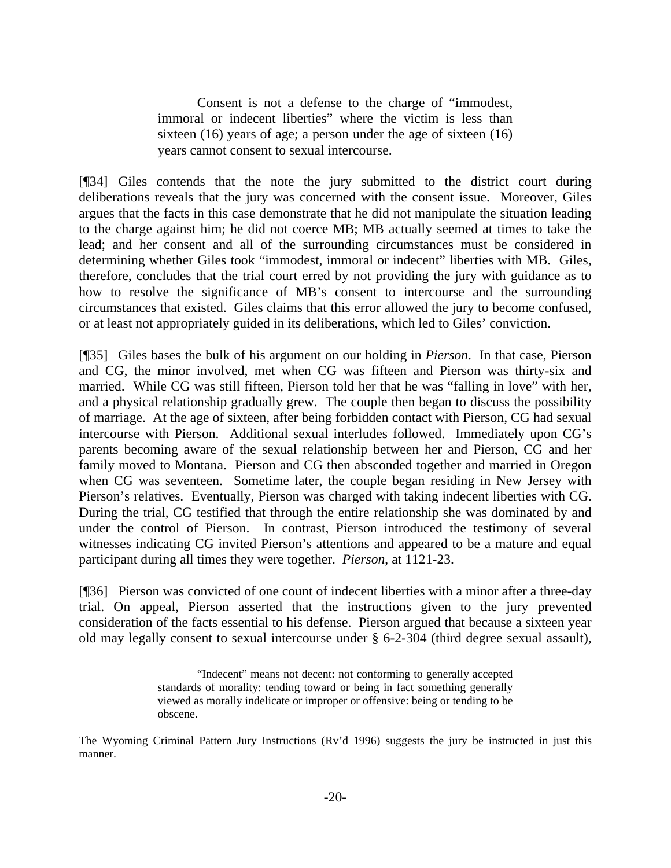Consent is not a defense to the charge of "immodest, immoral or indecent liberties" where the victim is less than sixteen (16) years of age; a person under the age of sixteen (16) years cannot consent to sexual intercourse.

[¶34] Giles contends that the note the jury submitted to the district court during deliberations reveals that the jury was concerned with the consent issue. Moreover, Giles argues that the facts in this case demonstrate that he did not manipulate the situation leading to the charge against him; he did not coerce MB; MB actually seemed at times to take the lead; and her consent and all of the surrounding circumstances must be considered in determining whether Giles took "immodest, immoral or indecent" liberties with MB. Giles, therefore, concludes that the trial court erred by not providing the jury with guidance as to how to resolve the significance of MB's consent to intercourse and the surrounding circumstances that existed. Giles claims that this error allowed the jury to become confused, or at least not appropriately guided in its deliberations, which led to Giles' conviction.

[¶35] Giles bases the bulk of his argument on our holding in *Pierson*. In that case, Pierson and CG, the minor involved, met when CG was fifteen and Pierson was thirty-six and married. While CG was still fifteen, Pierson told her that he was "falling in love" with her, and a physical relationship gradually grew. The couple then began to discuss the possibility of marriage. At the age of sixteen, after being forbidden contact with Pierson, CG had sexual intercourse with Pierson. Additional sexual interludes followed. Immediately upon CG's parents becoming aware of the sexual relationship between her and Pierson, CG and her family moved to Montana. Pierson and CG then absconded together and married in Oregon when CG was seventeen. Sometime later, the couple began residing in New Jersey with Pierson's relatives. Eventually, Pierson was charged with taking indecent liberties with CG. During the trial, CG testified that through the entire relationship she was dominated by and under the control of Pierson. In contrast, Pierson introduced the testimony of several witnesses indicating CG invited Pierson's attentions and appeared to be a mature and equal participant during all times they were together. *Pierson*, at 1121-23.

[¶36] Pierson was convicted of one count of indecent liberties with a minor after a three-day trial. On appeal, Pierson asserted that the instructions given to the jury prevented consideration of the facts essential to his defense. Pierson argued that because a sixteen year old may legally consent to sexual intercourse under § 6-2-304 (third degree sexual assault),

 $\overline{a}$ 

 <sup>&</sup>quot;Indecent" means not decent: not conforming to generally accepted standards of morality: tending toward or being in fact something generally viewed as morally indelicate or improper or offensive: being or tending to be obscene.

The Wyoming Criminal Pattern Jury Instructions (Rv'd 1996) suggests the jury be instructed in just this manner.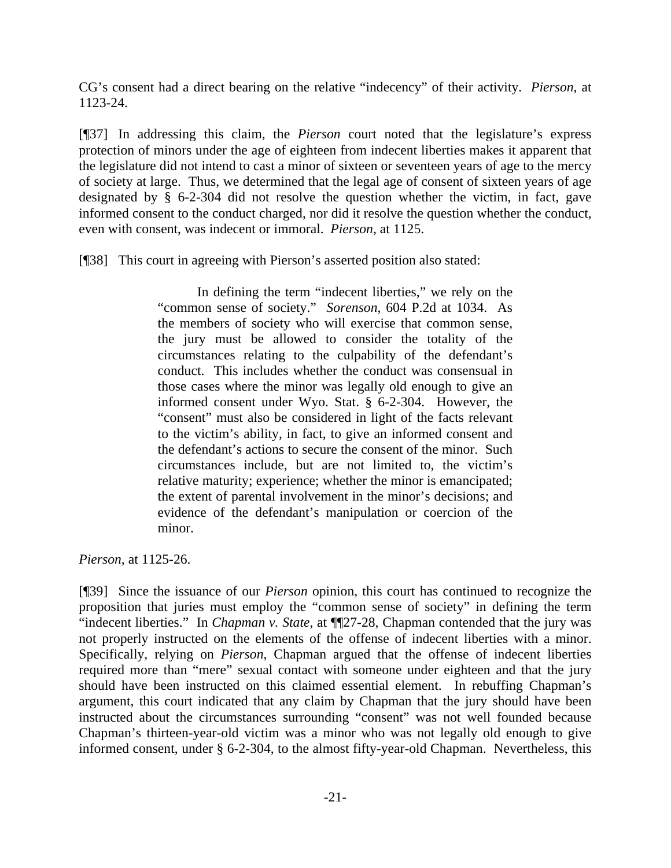CG's consent had a direct bearing on the relative "indecency" of their activity. *Pierson*, at 1123-24.

[¶37] In addressing this claim, the *Pierson* court noted that the legislature's express protection of minors under the age of eighteen from indecent liberties makes it apparent that the legislature did not intend to cast a minor of sixteen or seventeen years of age to the mercy of society at large. Thus, we determined that the legal age of consent of sixteen years of age designated by § 6-2-304 did not resolve the question whether the victim, in fact, gave informed consent to the conduct charged, nor did it resolve the question whether the conduct, even with consent, was indecent or immoral. *Pierson*, at 1125.

[¶38] This court in agreeing with Pierson's asserted position also stated:

 In defining the term "indecent liberties," we rely on the "common sense of society." *Sorenson*, 604 P.2d at 1034. As the members of society who will exercise that common sense, the jury must be allowed to consider the totality of the circumstances relating to the culpability of the defendant's conduct. This includes whether the conduct was consensual in those cases where the minor was legally old enough to give an informed consent under Wyo. Stat. § 6-2-304. However, the "consent" must also be considered in light of the facts relevant to the victim's ability, in fact, to give an informed consent and the defendant's actions to secure the consent of the minor. Such circumstances include, but are not limited to, the victim's relative maturity; experience; whether the minor is emancipated; the extent of parental involvement in the minor's decisions; and evidence of the defendant's manipulation or coercion of the minor.

*Pierson*, at 1125-26.

[¶39] Since the issuance of our *Pierson* opinion, this court has continued to recognize the proposition that juries must employ the "common sense of society" in defining the term "indecent liberties." In *Chapman v. State*, at ¶¶27-28, Chapman contended that the jury was not properly instructed on the elements of the offense of indecent liberties with a minor. Specifically, relying on *Pierson*, Chapman argued that the offense of indecent liberties required more than "mere" sexual contact with someone under eighteen and that the jury should have been instructed on this claimed essential element. In rebuffing Chapman's argument, this court indicated that any claim by Chapman that the jury should have been instructed about the circumstances surrounding "consent" was not well founded because Chapman's thirteen-year-old victim was a minor who was not legally old enough to give informed consent, under § 6-2-304, to the almost fifty-year-old Chapman. Nevertheless, this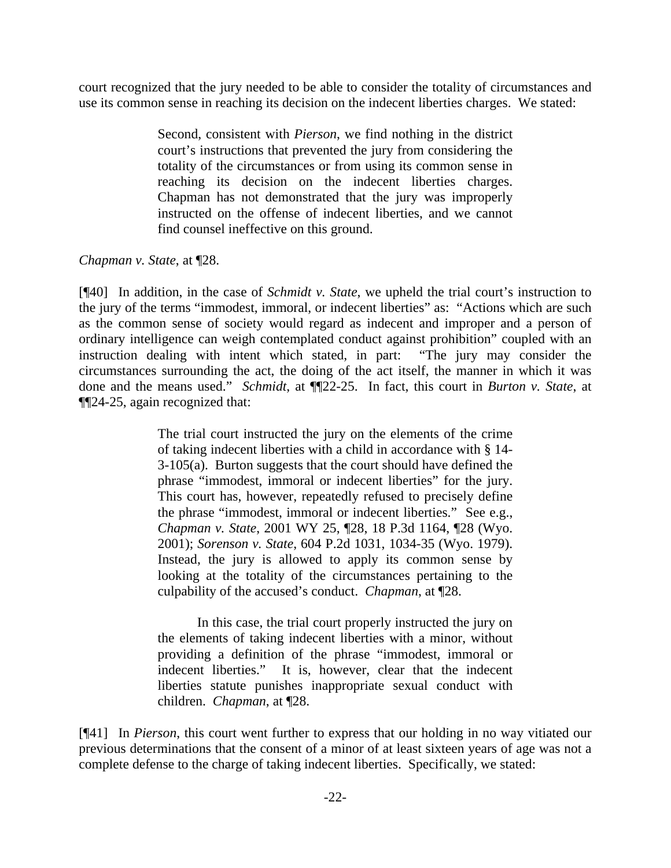court recognized that the jury needed to be able to consider the totality of circumstances and use its common sense in reaching its decision on the indecent liberties charges. We stated:

> Second, consistent with *Pierson*, we find nothing in the district court's instructions that prevented the jury from considering the totality of the circumstances or from using its common sense in reaching its decision on the indecent liberties charges. Chapman has not demonstrated that the jury was improperly instructed on the offense of indecent liberties, and we cannot find counsel ineffective on this ground.

### *Chapman v. State*, at ¶28.

[¶40] In addition, in the case of *Schmidt v. State*, we upheld the trial court's instruction to the jury of the terms "immodest, immoral, or indecent liberties" as: "Actions which are such as the common sense of society would regard as indecent and improper and a person of ordinary intelligence can weigh contemplated conduct against prohibition" coupled with an instruction dealing with intent which stated, in part: "The jury may consider the circumstances surrounding the act, the doing of the act itself, the manner in which it was done and the means used." *Schmidt*, at ¶¶22-25. In fact, this court in *Burton v. State*, at ¶¶24-25, again recognized that:

> The trial court instructed the jury on the elements of the crime of taking indecent liberties with a child in accordance with § 14- 3-105(a). Burton suggests that the court should have defined the phrase "immodest, immoral or indecent liberties" for the jury. This court has, however, repeatedly refused to precisely define the phrase "immodest, immoral or indecent liberties." See e.g., *Chapman v. State*, 2001 WY 25, ¶28, 18 P.3d 1164, ¶28 (Wyo. 2001); *Sorenson v. State*, 604 P.2d 1031, 1034-35 (Wyo. 1979). Instead, the jury is allowed to apply its common sense by looking at the totality of the circumstances pertaining to the culpability of the accused's conduct. *Chapman*, at ¶28.

> In this case, the trial court properly instructed the jury on the elements of taking indecent liberties with a minor, without providing a definition of the phrase "immodest, immoral or indecent liberties." It is, however, clear that the indecent liberties statute punishes inappropriate sexual conduct with children. *Chapman*, at ¶28.

[¶41] In *Pierson*, this court went further to express that our holding in no way vitiated our previous determinations that the consent of a minor of at least sixteen years of age was not a complete defense to the charge of taking indecent liberties. Specifically, we stated: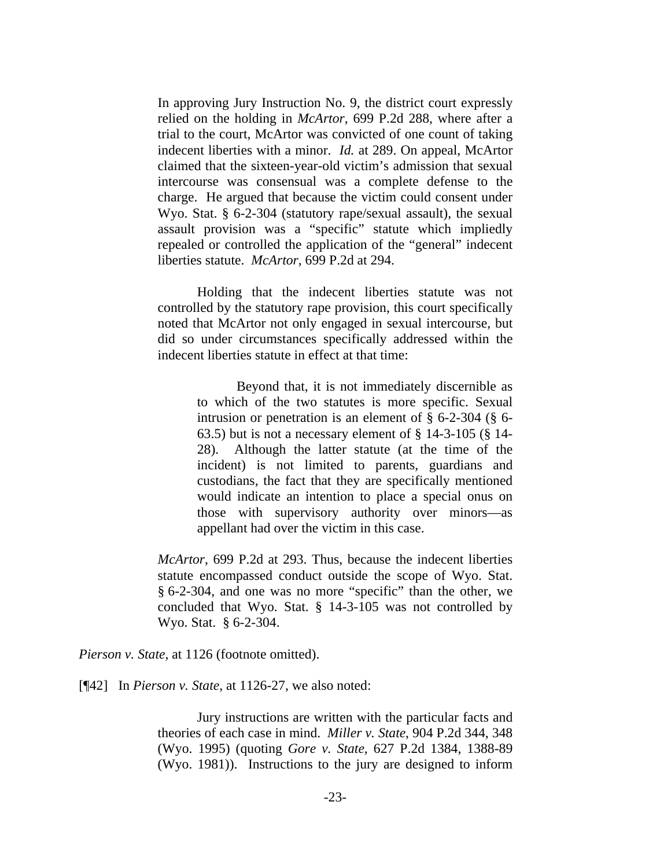In approving Jury Instruction No. 9, the district court expressly relied on the holding in *McArtor*, 699 P.2d 288, where after a trial to the court, McArtor was convicted of one count of taking indecent liberties with a minor. *Id.* at 289. On appeal, McArtor claimed that the sixteen-year-old victim's admission that sexual intercourse was consensual was a complete defense to the charge. He argued that because the victim could consent under Wyo. Stat. § 6-2-304 (statutory rape/sexual assault), the sexual assault provision was a "specific" statute which impliedly repealed or controlled the application of the "general" indecent liberties statute. *McArtor*, 699 P.2d at 294.

 Holding that the indecent liberties statute was not controlled by the statutory rape provision, this court specifically noted that McArtor not only engaged in sexual intercourse, but did so under circumstances specifically addressed within the indecent liberties statute in effect at that time:

> Beyond that, it is not immediately discernible as to which of the two statutes is more specific. Sexual intrusion or penetration is an element of § 6-2-304 (§ 6- 63.5) but is not a necessary element of § 14-3-105 (§ 14- 28). Although the latter statute (at the time of the incident) is not limited to parents, guardians and custodians, the fact that they are specifically mentioned would indicate an intention to place a special onus on those with supervisory authority over minors—as appellant had over the victim in this case.

*McArtor*, 699 P.2d at 293. Thus, because the indecent liberties statute encompassed conduct outside the scope of Wyo. Stat. § 6-2-304, and one was no more "specific" than the other, we concluded that Wyo. Stat. § 14-3-105 was not controlled by Wyo. Stat. § 6-2-304.

*Pierson v. State*, at 1126 (footnote omitted).

[¶42] In *Pierson v. State*, at 1126-27, we also noted:

 Jury instructions are written with the particular facts and theories of each case in mind. *Miller v. State*, 904 P.2d 344, 348 (Wyo. 1995) (quoting *Gore v. State*, 627 P.2d 1384, 1388-89 (Wyo. 1981)). Instructions to the jury are designed to inform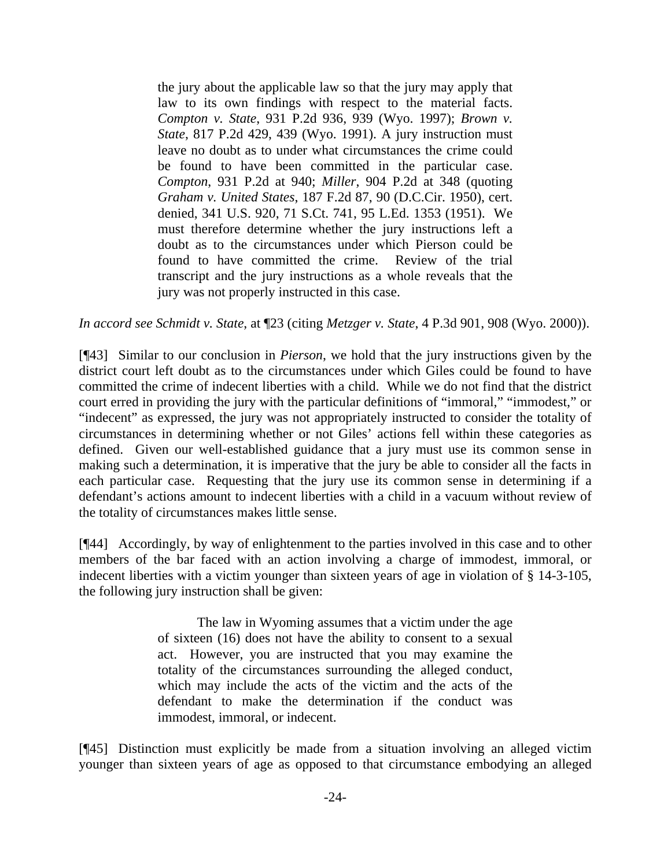the jury about the applicable law so that the jury may apply that law to its own findings with respect to the material facts. *Compton v. State*, 931 P.2d 936, 939 (Wyo. 1997); *Brown v. State*, 817 P.2d 429, 439 (Wyo. 1991). A jury instruction must leave no doubt as to under what circumstances the crime could be found to have been committed in the particular case. *Compton*, 931 P.2d at 940; *Miller*, 904 P.2d at 348 (quoting *Graham v. United States*, 187 F.2d 87, 90 (D.C.Cir. 1950), cert. denied, 341 U.S. 920, 71 S.Ct. 741, 95 L.Ed. 1353 (1951). We must therefore determine whether the jury instructions left a doubt as to the circumstances under which Pierson could be found to have committed the crime. Review of the trial transcript and the jury instructions as a whole reveals that the jury was not properly instructed in this case.

*In accord see Schmidt v. State*, at ¶23 (citing *Metzger v. State*, 4 P.3d 901, 908 (Wyo. 2000)).

[¶43] Similar to our conclusion in *Pierson*, we hold that the jury instructions given by the district court left doubt as to the circumstances under which Giles could be found to have committed the crime of indecent liberties with a child. While we do not find that the district court erred in providing the jury with the particular definitions of "immoral," "immodest," or "indecent" as expressed, the jury was not appropriately instructed to consider the totality of circumstances in determining whether or not Giles' actions fell within these categories as defined. Given our well-established guidance that a jury must use its common sense in making such a determination, it is imperative that the jury be able to consider all the facts in each particular case. Requesting that the jury use its common sense in determining if a defendant's actions amount to indecent liberties with a child in a vacuum without review of the totality of circumstances makes little sense.

[¶44] Accordingly, by way of enlightenment to the parties involved in this case and to other members of the bar faced with an action involving a charge of immodest, immoral, or indecent liberties with a victim younger than sixteen years of age in violation of § 14-3-105, the following jury instruction shall be given:

> The law in Wyoming assumes that a victim under the age of sixteen (16) does not have the ability to consent to a sexual act. However, you are instructed that you may examine the totality of the circumstances surrounding the alleged conduct, which may include the acts of the victim and the acts of the defendant to make the determination if the conduct was immodest, immoral, or indecent.

[¶45] Distinction must explicitly be made from a situation involving an alleged victim younger than sixteen years of age as opposed to that circumstance embodying an alleged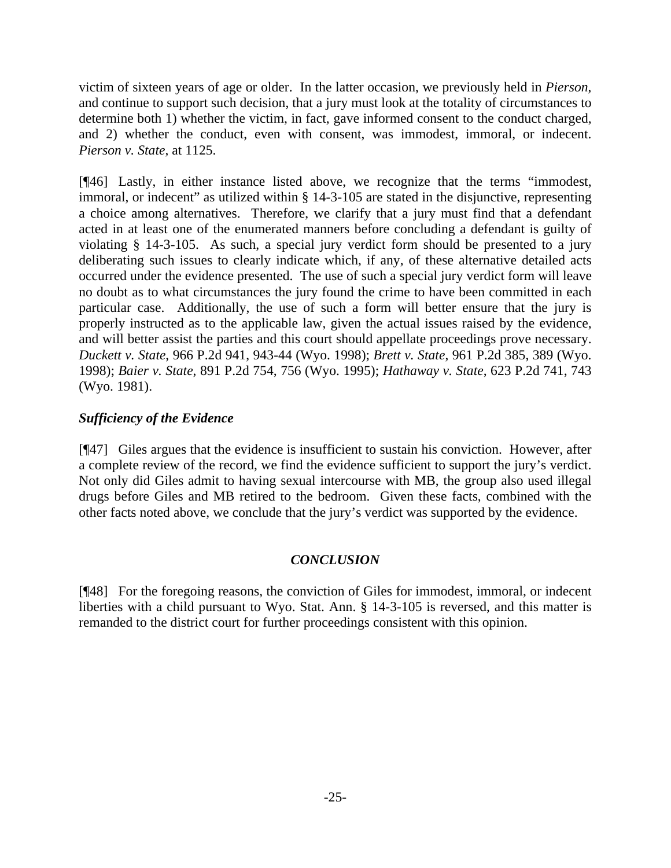victim of sixteen years of age or older. In the latter occasion, we previously held in *Pierson*, and continue to support such decision, that a jury must look at the totality of circumstances to determine both 1) whether the victim, in fact, gave informed consent to the conduct charged, and 2) whether the conduct, even with consent, was immodest, immoral, or indecent. *Pierson v. State*, at 1125.

[¶46] Lastly, in either instance listed above, we recognize that the terms "immodest, immoral, or indecent" as utilized within § 14-3-105 are stated in the disjunctive, representing a choice among alternatives. Therefore, we clarify that a jury must find that a defendant acted in at least one of the enumerated manners before concluding a defendant is guilty of violating § 14-3-105. As such, a special jury verdict form should be presented to a jury deliberating such issues to clearly indicate which, if any, of these alternative detailed acts occurred under the evidence presented. The use of such a special jury verdict form will leave no doubt as to what circumstances the jury found the crime to have been committed in each particular case. Additionally, the use of such a form will better ensure that the jury is properly instructed as to the applicable law, given the actual issues raised by the evidence, and will better assist the parties and this court should appellate proceedings prove necessary. *Duckett v. State*, 966 P.2d 941, 943-44 (Wyo. 1998); *Brett v. State*, 961 P.2d 385, 389 (Wyo. 1998); *Baier v. State*, 891 P.2d 754, 756 (Wyo. 1995); *Hathaway v. State*, 623 P.2d 741, 743 (Wyo. 1981).

# *Sufficiency of the Evidence*

[¶47] Giles argues that the evidence is insufficient to sustain his conviction. However, after a complete review of the record, we find the evidence sufficient to support the jury's verdict. Not only did Giles admit to having sexual intercourse with MB, the group also used illegal drugs before Giles and MB retired to the bedroom. Given these facts, combined with the other facts noted above, we conclude that the jury's verdict was supported by the evidence.

# *CONCLUSION*

[¶48] For the foregoing reasons, the conviction of Giles for immodest, immoral, or indecent liberties with a child pursuant to Wyo. Stat. Ann. § 14-3-105 is reversed, and this matter is remanded to the district court for further proceedings consistent with this opinion.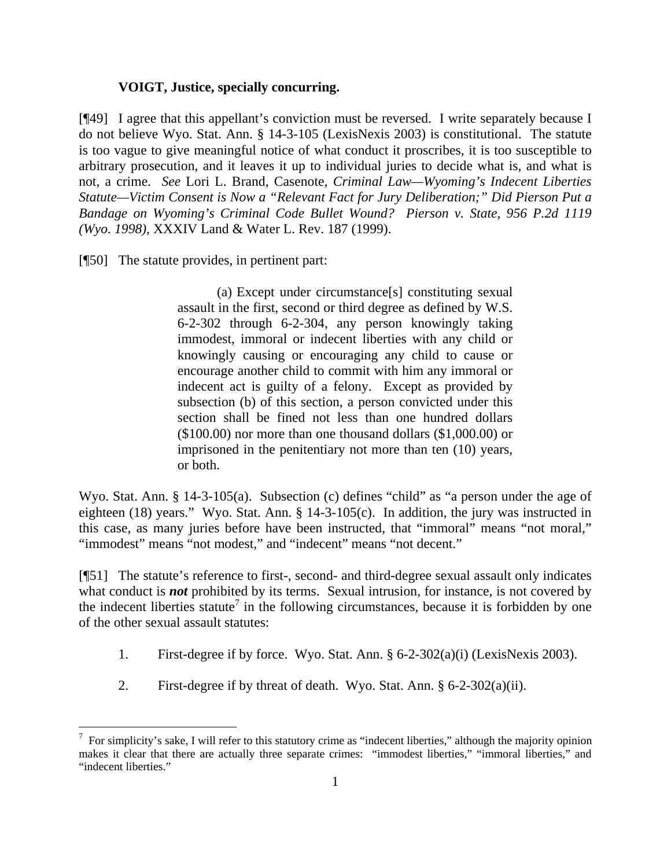### **VOIGT, Justice, specially concurring.**

[¶49] I agree that this appellant's conviction must be reversed. I write separately because I do not believe Wyo. Stat. Ann. § 14-3-105 (LexisNexis 2003) is constitutional. The statute is too vague to give meaningful notice of what conduct it proscribes, it is too susceptible to arbitrary prosecution, and it leaves it up to individual juries to decide what is, and what is not, a crime. *See* Lori L. Brand, Casenote, *Criminal Law—Wyoming's Indecent Liberties Statute—Victim Consent is Now a "Relevant Fact for Jury Deliberation;" Did Pierson Put a Bandage on Wyoming's Criminal Code Bullet Wound? Pierson v. State, 956 P.2d 1119 (Wyo. 1998),* XXXIV Land & Water L. Rev. 187 (1999).

[¶50] The statute provides, in pertinent part:

 $\overline{a}$ 

(a) Except under circumstance[s] constituting sexual assault in the first, second or third degree as defined by W.S. 6-2-302 through 6-2-304, any person knowingly taking immodest, immoral or indecent liberties with any child or knowingly causing or encouraging any child to cause or encourage another child to commit with him any immoral or indecent act is guilty of a felony. Except as provided by subsection (b) of this section, a person convicted under this section shall be fined not less than one hundred dollars (\$100.00) nor more than one thousand dollars (\$1,000.00) or imprisoned in the penitentiary not more than ten (10) years, or both.

Wyo. Stat. Ann. § 14-3-105(a). Subsection (c) defines "child" as "a person under the age of eighteen (18) years." Wyo. Stat. Ann. § 14-3-105(c). In addition, the jury was instructed in this case, as many juries before have been instructed, that "immoral" means "not moral," "immodest" means "not modest," and "indecent" means "not decent."

[¶51] The statute's reference to first-, second- and third-degree sexual assault only indicates what conduct is *not* prohibited by its terms. Sexual intrusion, for instance, is not covered by the indecent liberties statute<sup>7</sup> in the following circumstances, because it is forbidden by one of the other sexual assault statutes:

- 1. First-degree if by force. Wyo. Stat. Ann. § 6-2-302(a)(i) (LexisNexis 2003).
- 2. First-degree if by threat of death. Wyo. Stat. Ann. § 6-2-302(a)(ii).

<sup>7</sup> For simplicity's sake, I will refer to this statutory crime as "indecent liberties," although the majority opinion makes it clear that there are actually three separate crimes: "immodest liberties," "immoral liberties," and "indecent liberties."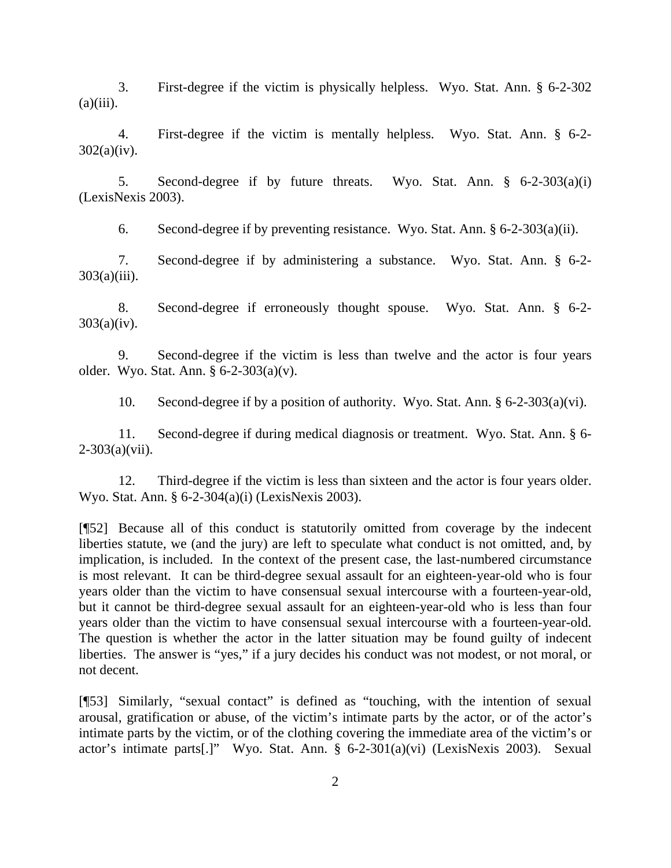3. First-degree if the victim is physically helpless. Wyo. Stat. Ann. § 6-2-302  $(a)(iii)$ .

4. First-degree if the victim is mentally helpless. Wyo. Stat. Ann. § 6-2-  $302(a)(iv)$ .

5. Second-degree if by future threats. Wyo. Stat. Ann. § 6-2-303(a)(i) (LexisNexis 2003).

6. Second-degree if by preventing resistance. Wyo. Stat. Ann. § 6-2-303(a)(ii).

7. Second-degree if by administering a substance. Wyo. Stat. Ann. § 6-2-  $303(a)(iii)$ .

8. Second-degree if erroneously thought spouse. Wyo. Stat. Ann. § 6-2-  $303(a)(iv)$ .

9. Second-degree if the victim is less than twelve and the actor is four years older. Wyo. Stat. Ann. § 6-2-303(a)(v).

10. Second-degree if by a position of authority. Wyo. Stat. Ann. § 6-2-303(a)(vi).

11. Second-degree if during medical diagnosis or treatment. Wyo. Stat. Ann. § 6-  $2 - 303(a)(vii)$ .

12. Third-degree if the victim is less than sixteen and the actor is four years older. Wyo. Stat. Ann. § 6-2-304(a)(i) (LexisNexis 2003).

[¶52] Because all of this conduct is statutorily omitted from coverage by the indecent liberties statute, we (and the jury) are left to speculate what conduct is not omitted, and, by implication, is included. In the context of the present case, the last-numbered circumstance is most relevant. It can be third-degree sexual assault for an eighteen-year-old who is four years older than the victim to have consensual sexual intercourse with a fourteen-year-old, but it cannot be third-degree sexual assault for an eighteen-year-old who is less than four years older than the victim to have consensual sexual intercourse with a fourteen-year-old. The question is whether the actor in the latter situation may be found guilty of indecent liberties. The answer is "yes," if a jury decides his conduct was not modest, or not moral, or not decent.

[¶53] Similarly, "sexual contact" is defined as "touching, with the intention of sexual arousal, gratification or abuse, of the victim's intimate parts by the actor, or of the actor's intimate parts by the victim, or of the clothing covering the immediate area of the victim's or actor's intimate parts[.]" Wyo. Stat. Ann. § 6-2-301(a)(vi) (LexisNexis 2003). Sexual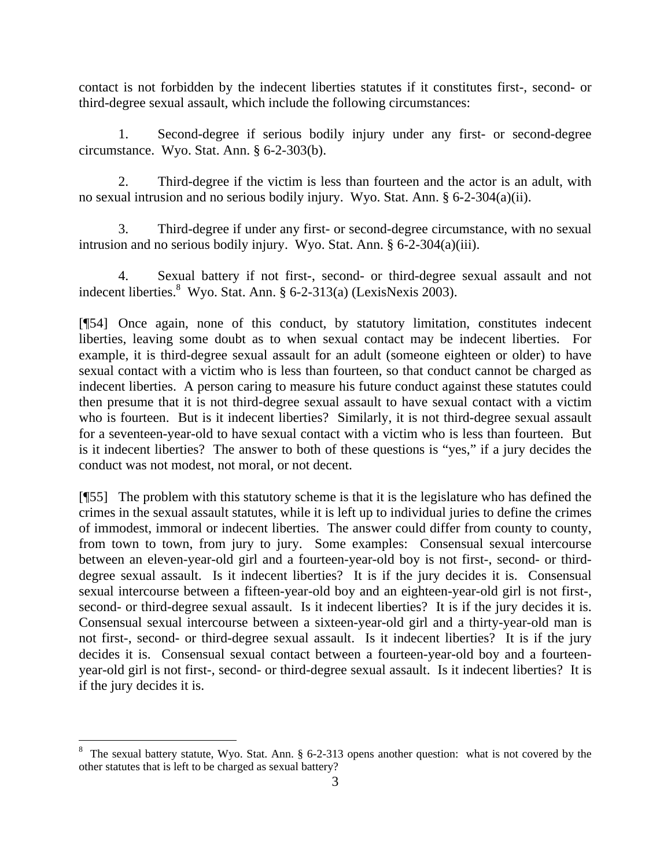contact is not forbidden by the indecent liberties statutes if it constitutes first-, second- or third-degree sexual assault, which include the following circumstances:

1. Second-degree if serious bodily injury under any first- or second-degree circumstance. Wyo. Stat. Ann. § 6-2-303(b).

2. Third-degree if the victim is less than fourteen and the actor is an adult, with no sexual intrusion and no serious bodily injury. Wyo. Stat. Ann. § 6-2-304(a)(ii).

3. Third-degree if under any first- or second-degree circumstance, with no sexual intrusion and no serious bodily injury. Wyo. Stat. Ann. § 6-2-304(a)(iii).

4. Sexual battery if not first-, second- or third-degree sexual assault and not indecent liberties. Wyo. Stat. Ann.  $\S 6$ -2-313(a) (LexisNexis 2003).

[¶54] Once again, none of this conduct, by statutory limitation, constitutes indecent liberties, leaving some doubt as to when sexual contact may be indecent liberties. For example, it is third-degree sexual assault for an adult (someone eighteen or older) to have sexual contact with a victim who is less than fourteen, so that conduct cannot be charged as indecent liberties. A person caring to measure his future conduct against these statutes could then presume that it is not third-degree sexual assault to have sexual contact with a victim who is fourteen. But is it indecent liberties? Similarly, it is not third-degree sexual assault for a seventeen-year-old to have sexual contact with a victim who is less than fourteen. But is it indecent liberties? The answer to both of these questions is "yes," if a jury decides the conduct was not modest, not moral, or not decent.

[¶55] The problem with this statutory scheme is that it is the legislature who has defined the crimes in the sexual assault statutes, while it is left up to individual juries to define the crimes of immodest, immoral or indecent liberties. The answer could differ from county to county, from town to town, from jury to jury. Some examples: Consensual sexual intercourse between an eleven-year-old girl and a fourteen-year-old boy is not first-, second- or thirddegree sexual assault. Is it indecent liberties? It is if the jury decides it is. Consensual sexual intercourse between a fifteen-year-old boy and an eighteen-year-old girl is not first-, second- or third-degree sexual assault. Is it indecent liberties? It is if the jury decides it is. Consensual sexual intercourse between a sixteen-year-old girl and a thirty-year-old man is not first-, second- or third-degree sexual assault. Is it indecent liberties? It is if the jury decides it is. Consensual sexual contact between a fourteen-year-old boy and a fourteenyear-old girl is not first-, second- or third-degree sexual assault. Is it indecent liberties? It is if the jury decides it is.

 $\overline{a}$ 

<sup>8</sup> The sexual battery statute, Wyo. Stat. Ann. § 6-2-313 opens another question: what is not covered by the other statutes that is left to be charged as sexual battery?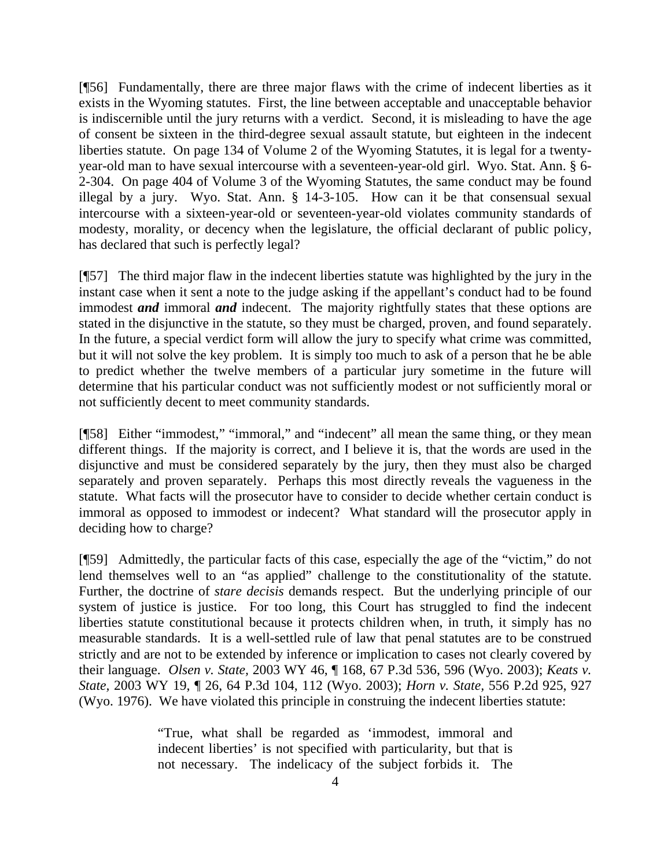[¶56] Fundamentally, there are three major flaws with the crime of indecent liberties as it exists in the Wyoming statutes. First, the line between acceptable and unacceptable behavior is indiscernible until the jury returns with a verdict. Second, it is misleading to have the age of consent be sixteen in the third-degree sexual assault statute, but eighteen in the indecent liberties statute. On page 134 of Volume 2 of the Wyoming Statutes, it is legal for a twentyyear-old man to have sexual intercourse with a seventeen-year-old girl. Wyo. Stat. Ann. § 6- 2-304. On page 404 of Volume 3 of the Wyoming Statutes, the same conduct may be found illegal by a jury. Wyo. Stat. Ann. § 14-3-105. How can it be that consensual sexual intercourse with a sixteen-year-old or seventeen-year-old violates community standards of modesty, morality, or decency when the legislature, the official declarant of public policy, has declared that such is perfectly legal?

[¶57] The third major flaw in the indecent liberties statute was highlighted by the jury in the instant case when it sent a note to the judge asking if the appellant's conduct had to be found immodest *and* immoral *and* indecent. The majority rightfully states that these options are stated in the disjunctive in the statute, so they must be charged, proven, and found separately. In the future, a special verdict form will allow the jury to specify what crime was committed, but it will not solve the key problem. It is simply too much to ask of a person that he be able to predict whether the twelve members of a particular jury sometime in the future will determine that his particular conduct was not sufficiently modest or not sufficiently moral or not sufficiently decent to meet community standards.

[¶58] Either "immodest," "immoral," and "indecent" all mean the same thing, or they mean different things. If the majority is correct, and I believe it is, that the words are used in the disjunctive and must be considered separately by the jury, then they must also be charged separately and proven separately. Perhaps this most directly reveals the vagueness in the statute. What facts will the prosecutor have to consider to decide whether certain conduct is immoral as opposed to immodest or indecent? What standard will the prosecutor apply in deciding how to charge?

[¶59] Admittedly, the particular facts of this case, especially the age of the "victim," do not lend themselves well to an "as applied" challenge to the constitutionality of the statute. Further, the doctrine of *stare decisis* demands respect. But the underlying principle of our system of justice is justice. For too long, this Court has struggled to find the indecent liberties statute constitutional because it protects children when, in truth, it simply has no measurable standards. It is a well-settled rule of law that penal statutes are to be construed strictly and are not to be extended by inference or implication to cases not clearly covered by their language. *Olsen v. State,* 2003 WY 46, ¶ 168, 67 P.3d 536, 596 (Wyo. 2003); *Keats v. State,* 2003 WY 19, ¶ 26, 64 P.3d 104, 112 (Wyo. 2003); *Horn v. State,* 556 P.2d 925, 927 (Wyo. 1976). We have violated this principle in construing the indecent liberties statute:

> "True, what shall be regarded as 'immodest, immoral and indecent liberties' is not specified with particularity, but that is not necessary. The indelicacy of the subject forbids it. The